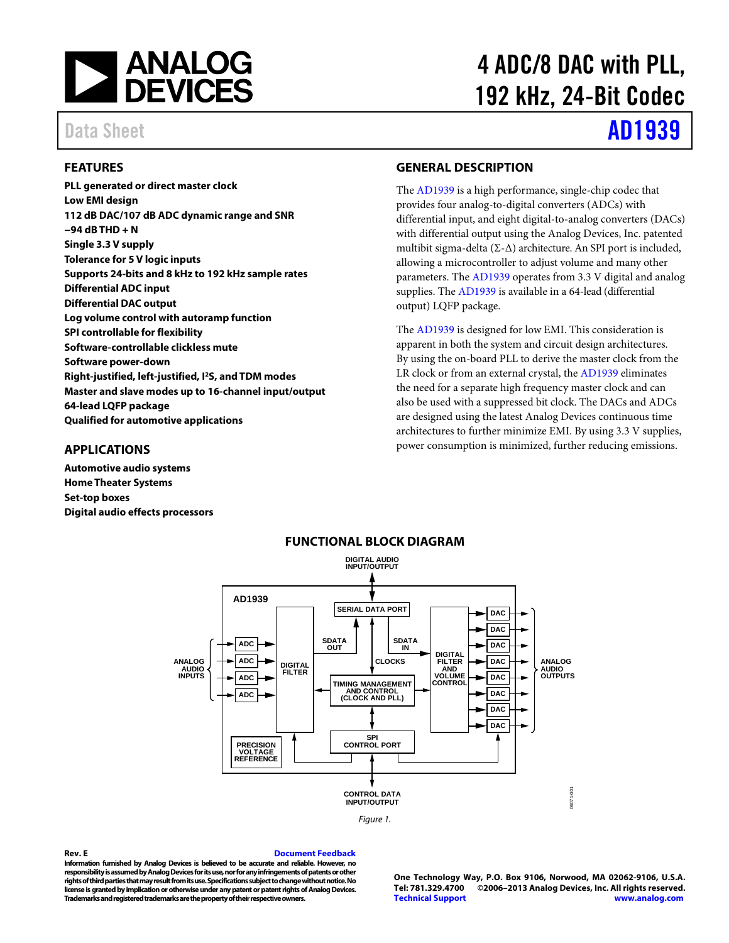

### <span id="page-0-0"></span>**FEATURES**

**PLL generated or direct master clock Low EMI design 112 dB DAC/107 dB ADC dynamic range and SNR −94 dB THD + N Single 3.3 V supply Tolerance for 5 V logic inputs Supports 24-bits and 8 kHz to 192 kHz sample rates Differential ADC input Differential DAC output Log volume control with autoramp function SPI controllable for flexibility Software-controllable clickless mute Software power-down Right-justified, left-justified, I2S, and TDM modes Master and slave modes up to 16-channel input/output 64-lead LQFP package Qualified for automotive applications**

# 4 ADC/8 DAC with PLL, 192 kHz, 24-Bit Codec

# Data Sheet **[AD1939](http://www.analog.com/AD1939)**

### <span id="page-0-2"></span>**GENERAL DESCRIPTION**

The [AD1939](http://www.analog.com/AD1939?doc=AD1939.pdf) is a high performance, single-chip codec that provides four analog-to-digital converters (ADCs) with differential input, and eight digital-to-analog converters (DACs) with differential output using the Analog Devices, Inc. patented multibit sigma-delta ( $\Sigma$ - $\Delta$ ) architecture. An SPI port is included, allowing a microcontroller to adjust volume and many other parameters. Th[e AD1939](http://www.analog.com/AD1939?doc=AD1939.pdf) operates from 3.3 V digital and analog supplies. The [AD1939](http://www.analog.com/AD1939?doc=AD1939.pdf) is available in a 64-lead (differential output) LQFP package.

The [AD1939](http://www.analog.com/AD1939?doc=AD1939.pdf) is designed for low EMI. This consideration is apparent in both the system and circuit design architectures. By using the on-board PLL to derive the master clock from the LR clock or from an external crystal, th[e AD1939](http://www.analog.com/AD1939?doc=AD1939.pdf) eliminates the need for a separate high frequency master clock and can also be used with a suppressed bit clock. The DACs and ADCs are designed using the latest Analog Devices continuous time architectures to further minimize EMI. By using 3.3 V supplies, power consumption is minimized, further reducing emissions.

### <span id="page-0-1"></span>**APPLICATIONS**

<span id="page-0-3"></span>**Automotive audio systems Home Theater Systems Set-top boxes Digital audio effects processors**



### **FUNCTIONAL BLOCK DIAGRAM**

#### **Rev. E [Document Feedback](https://form.analog.com/Form_Pages/feedback/documentfeedback.aspx?doc=AD1939.pdf&product=AD1939&rev=E)**

**Information furnished by Analog Devices is believed to be accurate and reliable. However, no responsibility is assumed by Analog Devices for its use, nor for any infringements of patents or other rights of third parties that may result from its use. Specifications subject to change without notice. No license is granted by implication or otherwise under any patent or patent rights of Analog Devices. Trademarks and registered trademarks are the property of their respective owners.**

**One Technology Way, P.O. Box 9106, Norwood, MA 02062-9106, U.S.A. Tel: 781.329.4700 ©2006–2013 Analog Devices, Inc. All rights reserved. [Technical Support](http://www.analog.com/en/content/technical_support_page/fca.html) [www.analog.com](http://www.analog.com/)**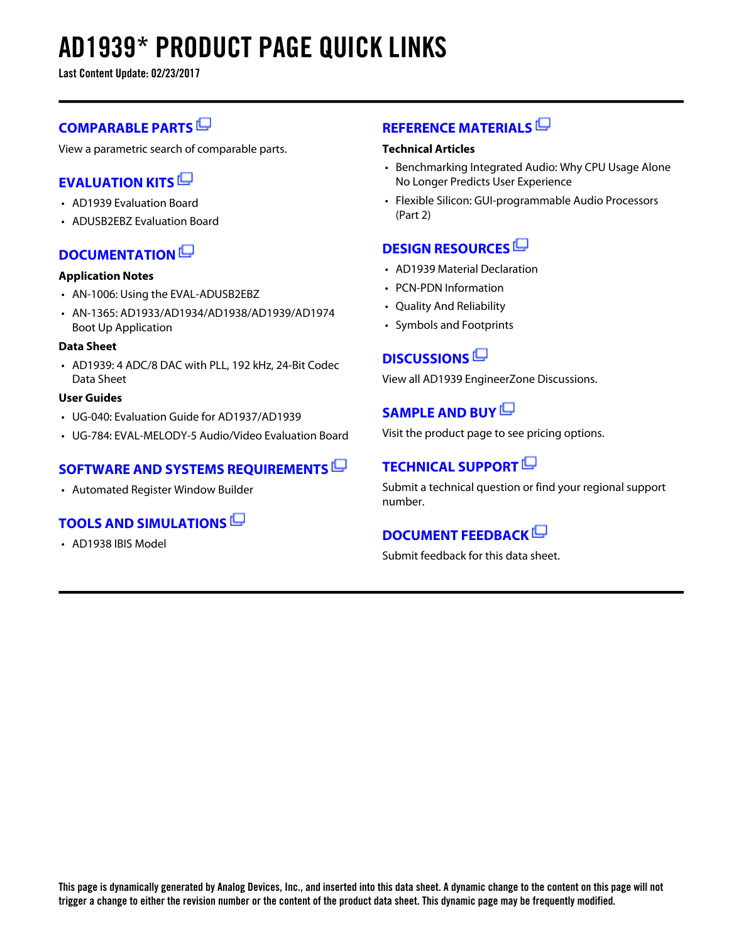# **AD1939\* PRODUCT PAGE QUICK LINKS**

**Last Content Update: 02/23/2017**

### **[COMPARABLE PARTS](http://www.analog.com/parametricsearch/en/11306?doc=AD1939.pdf&p0=1&lsrc=pst)**

View a parametric search of comparable parts.

### **[EVALUATION KITS](http://www.analog.com/ad1939/evalkits?doc=AD1939.pdf&p0=1&lsrc=ek)**

- AD1939 Evaluation Board
- ADUSB2EBZ Evaluation Board

### **[DOCUMENTATION](http://www.analog.com/ad1939/documentation?doc=AD1939.pdf&p0=1&lsrc=doc)**

### **Application Notes**

- AN-1006: Using the EVAL-ADUSB2EBZ
- AN-1365: AD1933/AD1934/AD1938/AD1939/AD1974 Boot Up Application

### **Data Sheet**

• AD1939: 4 ADC/8 DAC with PLL, 192 kHz, 24-Bit Codec Data Sheet

### **User Guides**

- UG-040: Evaluation Guide for AD1937/AD1939
- UG-784: EVAL-MELODY-5 Audio/Video Evaluation Board

### **[SOFTWARE AND SYSTEMS REQUIREMENTS](http://www.analog.com/ad1939/softwarerequirements?doc=AD1939.pdf&p0=1&lsrc=swreq)**

• Automated Register Window Builder

### **[TOOLS AND SIMULATIONS](http://www.analog.com/ad1939/tools?doc=AD1939.pdf&p0=1&lsrc=tools)**

• AD1938 IBIS Model

### **[REFERENCE MATERIALS](http://www.analog.com/ad1939/referencematerials?doc=AD1939.pdf&p0=1&lsrc=rm)**

#### **Technical Articles**

- Benchmarking Integrated Audio: Why CPU Usage Alone No Longer Predicts User Experience
- Flexible Silicon: GUI-programmable Audio Processors (Part 2)

### **[DESIGN RESOURCES](http://www.analog.com/ad1939/designsources?doc=AD1939.pdf&p0=1&lsrc=dr)**

- AD1939 Material Declaration
- PCN-PDN Information
- Quality And Reliability
- Symbols and Footprints

### **[DISCUSSIONS](http://www.analog.com/ad1939/discussions?doc=AD1939.pdf&p0=1&lsrc=disc)**

View all AD1939 EngineerZone Discussions.

### **[SAMPLE AND BUY](http://www.analog.com/ad1939/sampleandbuy?doc=AD1939.pdf&p0=1&lsrc=sb)**

Visit the product page to see pricing options.

### **[TECHNICAL SUPPORT](http://www.analog.com/support/technical-support.html?doc=AD1939.pdf&p0=1&lsrc=techs)**

Submit a technical question or find your regional support number.

### **[DOCUMENT FEEDBACK](https://form.analog.com/Form_Pages/feedback/documentfeedback.aspx?doc=AD1939.pdf&product=AD1939&p0=1&lsrc=dfs)**

Submit feedback for this data sheet.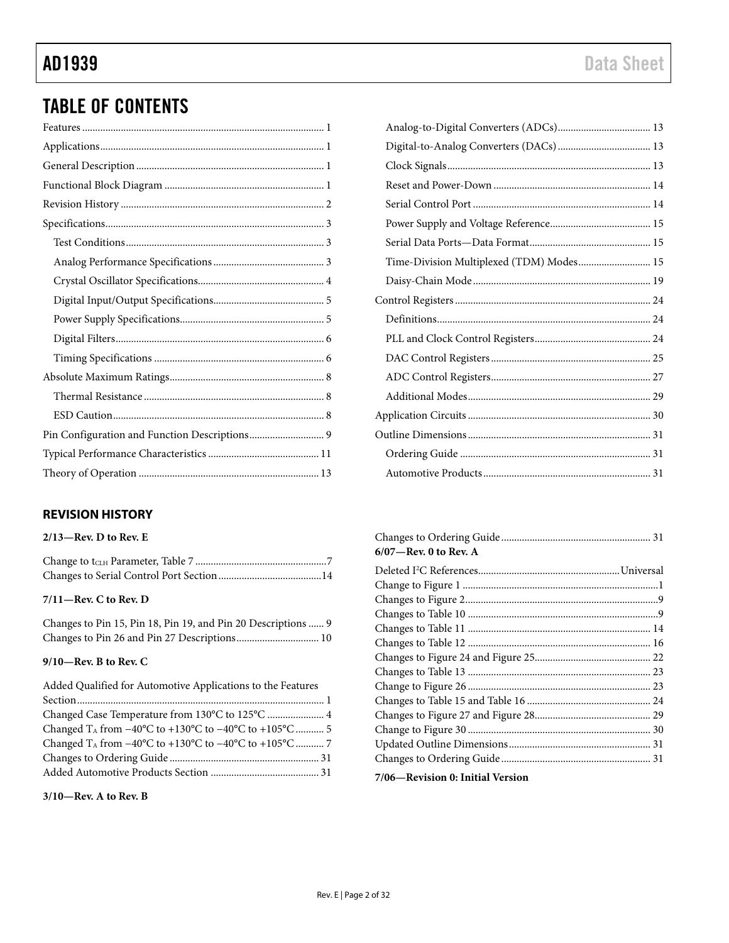## TABLE OF CONTENTS

### <span id="page-2-0"></span>**REVISION HISTORY**

### **2/13—Rev. D to Rev. E**

### **7/11—Rev. C to Rev. D**

|  |  |  | Changes to Pin 15, Pin 18, Pin 19, and Pin 20 Descriptions  9 |  |
|--|--|--|---------------------------------------------------------------|--|
|  |  |  |                                                               |  |

### **9/10—Rev. B to Rev. C**

| Added Qualified for Automotive Applications to the Features                                     |  |
|-------------------------------------------------------------------------------------------------|--|
|                                                                                                 |  |
|                                                                                                 |  |
| Changed $T_A$ from $-40^{\circ}$ C to $+130^{\circ}$ C to $-40^{\circ}$ C to $+105^{\circ}$ C 5 |  |
|                                                                                                 |  |
|                                                                                                 |  |
|                                                                                                 |  |

#### **3/10—Rev. A to Rev. B**

| Time-Division Multiplexed (TDM) Modes 15 |  |
|------------------------------------------|--|
|                                          |  |
|                                          |  |
|                                          |  |
|                                          |  |
|                                          |  |
|                                          |  |
|                                          |  |
|                                          |  |
|                                          |  |
|                                          |  |
|                                          |  |

| 6/07—Rev. 0 to Rev. A |  |
|-----------------------|--|

### **7/06—Revision 0: Initial Version**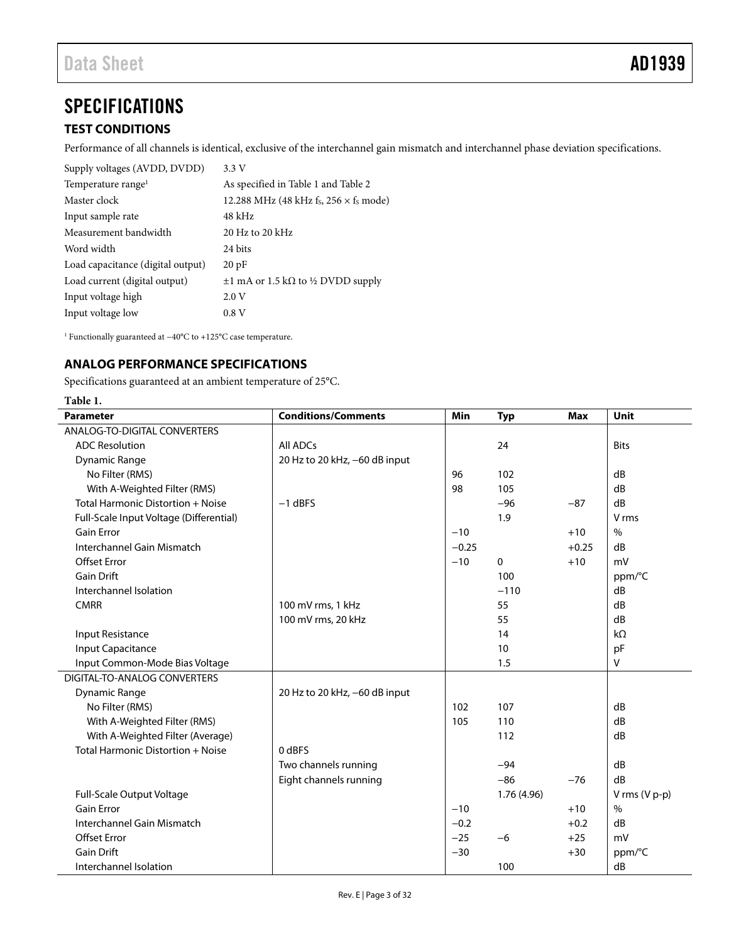## <span id="page-3-0"></span>**SPECIFICATIONS**

### <span id="page-3-1"></span>**TEST CONDITIONS**

Performance of all channels is identical, exclusive of the interchannel gain mismatch and interchannel phase deviation specifications.

| Supply voltages (AVDD, DVDD)      | 3.3V                                         |
|-----------------------------------|----------------------------------------------|
| Temperature range <sup>1</sup>    | As specified in Table 1 and Table 2          |
| Master clock                      | 12.288 MHz (48 kHz fs, $256 \times$ fs mode) |
| Input sample rate                 | $48$ kHz                                     |
| Measurement bandwidth             | $20$ Hz to $20$ kHz                          |
| Word width                        | 24 bits                                      |
| Load capacitance (digital output) | 20pF                                         |
| Load current (digital output)     | $\pm 1$ mA or 1.5 kΩ to ½ DVDD supply        |
| Input voltage high                | 2.0V                                         |
| Input voltage low                 | 0.8V                                         |

<span id="page-3-2"></span>1 Functionally guaranteed at −40°C to +125°C case temperature.

### **ANALOG PERFORMANCE SPECIFICATIONS**

Specifications guaranteed at an ambient temperature of 25°C.

<span id="page-3-3"></span>

| <b>Parameter</b>                        | <b>Conditions/Comments</b>    | Min     | <b>Typ</b>  | <b>Max</b> | Unit          |
|-----------------------------------------|-------------------------------|---------|-------------|------------|---------------|
| <b>ANALOG-TO-DIGITAL CONVERTERS</b>     |                               |         |             |            |               |
| <b>ADC Resolution</b>                   | All ADCs                      |         | 24          |            | <b>Bits</b>   |
| <b>Dynamic Range</b>                    | 20 Hz to 20 kHz, -60 dB input |         |             |            |               |
| No Filter (RMS)                         |                               | 96      | 102         |            | dB            |
| With A-Weighted Filter (RMS)            |                               | 98      | 105         |            | dB            |
| Total Harmonic Distortion + Noise       | $-1$ dBFS                     |         | $-96$       | $-87$      | dB            |
| Full-Scale Input Voltage (Differential) |                               |         | 1.9         |            | V rms         |
| <b>Gain Error</b>                       |                               | $-10$   |             | $+10$      | $\%$          |
| Interchannel Gain Mismatch              |                               | $-0.25$ |             | $+0.25$    | dB            |
| <b>Offset Error</b>                     |                               | $-10$   | 0           | $+10$      | mV            |
| <b>Gain Drift</b>                       |                               |         | 100         |            | ppm/°C        |
| Interchannel Isolation                  |                               |         | $-110$      |            | dB            |
| <b>CMRR</b>                             | 100 mV rms, 1 kHz             |         | 55          |            | dB            |
|                                         | 100 mV rms, 20 kHz            |         | 55          |            | dB            |
| Input Resistance                        |                               |         | 14          |            | $k\Omega$     |
| <b>Input Capacitance</b>                |                               |         | 10          |            | pF            |
| Input Common-Mode Bias Voltage          |                               |         | 1.5         |            | $\vee$        |
| DIGITAL-TO-ANALOG CONVERTERS            |                               |         |             |            |               |
| <b>Dynamic Range</b>                    | 20 Hz to 20 kHz, -60 dB input |         |             |            |               |
| No Filter (RMS)                         |                               | 102     | 107         |            | dB            |
| With A-Weighted Filter (RMS)            |                               | 105     | 110         |            | dB            |
| With A-Weighted Filter (Average)        |                               |         | 112         |            | dB            |
| Total Harmonic Distortion + Noise       | 0 dBFS                        |         |             |            |               |
|                                         | Two channels running          |         | $-94$       |            | dB            |
|                                         | Eight channels running        |         | $-86$       | $-76$      | dB            |
| Full-Scale Output Voltage               |                               |         | 1.76 (4.96) |            | V rms (V p-p) |
| <b>Gain Error</b>                       |                               | $-10$   |             | $+10$      | $\%$          |
| Interchannel Gain Mismatch              |                               | $-0.2$  |             | $+0.2$     | dB            |
| <b>Offset Error</b>                     |                               | $-25$   | $-6$        | $+25$      | mV            |
| <b>Gain Drift</b>                       |                               | $-30$   |             | $+30$      | ppm/°C        |
| Interchannel Isolation                  |                               |         | 100         |            | dB            |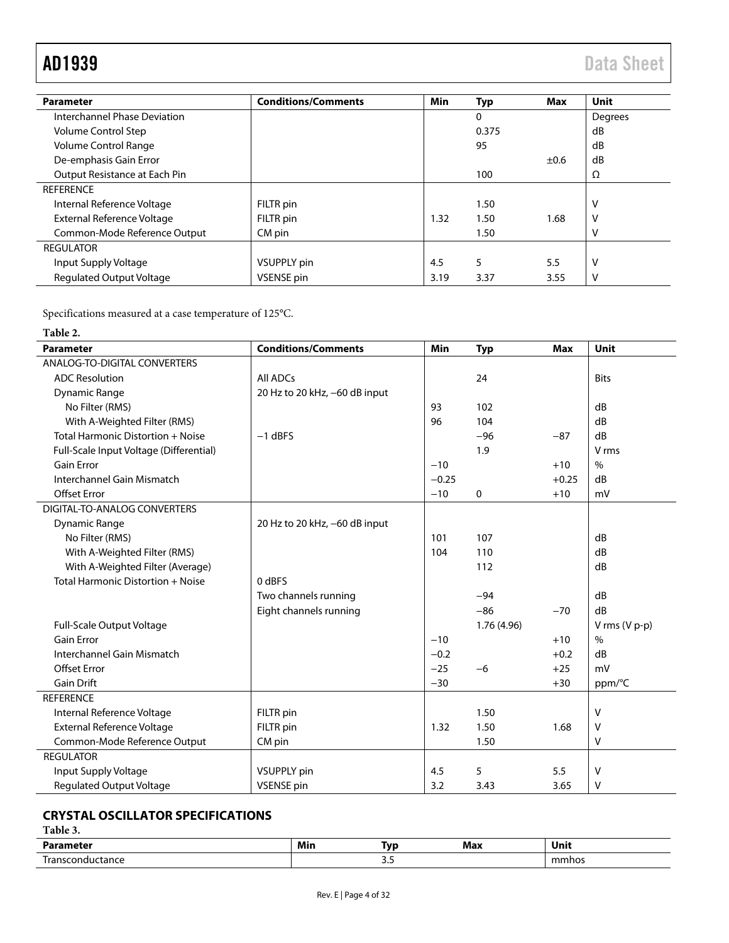| <b>Parameter</b>                  | <b>Conditions/Comments</b> | Min  | <b>Typ</b> | <b>Max</b> | Unit    |
|-----------------------------------|----------------------------|------|------------|------------|---------|
| Interchannel Phase Deviation      |                            |      | 0          |            | Degrees |
| Volume Control Step               |                            |      | 0.375      |            | dB      |
| Volume Control Range              |                            |      | 95         |            | dB      |
| De-emphasis Gain Error            |                            |      |            | ±0.6       | dB      |
| Output Resistance at Each Pin     |                            |      | 100        |            | Ω       |
| <b>REFERENCE</b>                  |                            |      |            |            |         |
| Internal Reference Voltage        | FILTR pin                  |      | 1.50       |            | v       |
| <b>External Reference Voltage</b> | FILTR pin                  | 1.32 | 1.50       | 1.68       | ν       |
| Common-Mode Reference Output      | CM pin                     |      | 1.50       |            | v       |
| <b>REGULATOR</b>                  |                            |      |            |            |         |
| Input Supply Voltage              | <b>VSUPPLY</b> pin         | 4.5  | 5          | 5.5        | v       |
| <b>Regulated Output Voltage</b>   | VSENSE pin                 | 3.19 | 3.37       | 3.55       | v       |

Specifications measured at a case temperature of 125°C.

<span id="page-4-1"></span>

<span id="page-4-2"></span>

| <b>Parameter</b>                        | <b>Conditions/Comments</b>    | Min     | <b>Typ</b>  | <b>Max</b> | <b>Unit</b>     |
|-----------------------------------------|-------------------------------|---------|-------------|------------|-----------------|
| ANALOG-TO-DIGITAL CONVERTERS            |                               |         |             |            |                 |
| <b>ADC Resolution</b>                   | <b>All ADCs</b>               |         | 24          |            | <b>Bits</b>     |
| <b>Dynamic Range</b>                    | 20 Hz to 20 kHz, -60 dB input |         |             |            |                 |
| No Filter (RMS)                         |                               | 93      | 102         |            | dB              |
| With A-Weighted Filter (RMS)            |                               | 96      | 104         |            | dB              |
| Total Harmonic Distortion + Noise       | $-1$ dBFS                     |         | $-96$       | $-87$      | dB              |
| Full-Scale Input Voltage (Differential) |                               |         | 1.9         |            | V rms           |
| <b>Gain Error</b>                       |                               | $-10$   |             | $+10$      | $\%$            |
| Interchannel Gain Mismatch              |                               | $-0.25$ |             | $+0.25$    | dB              |
| <b>Offset Error</b>                     |                               | $-10$   | 0           | $+10$      | mV              |
| DIGITAL-TO-ANALOG CONVERTERS            |                               |         |             |            |                 |
| Dynamic Range                           | 20 Hz to 20 kHz, -60 dB input |         |             |            |                 |
| No Filter (RMS)                         |                               | 101     | 107         |            | dB              |
| With A-Weighted Filter (RMS)            |                               | 104     | 110         |            | dB              |
| With A-Weighted Filter (Average)        |                               |         | 112         |            | dB              |
| Total Harmonic Distortion + Noise       | 0 dBFS                        |         |             |            |                 |
|                                         | Two channels running          |         | $-94$       |            | dB              |
|                                         | Eight channels running        |         | $-86$       | $-70$      | dB              |
| Full-Scale Output Voltage               |                               |         | 1.76 (4.96) |            | V rms $(V p-p)$ |
| <b>Gain Error</b>                       |                               | $-10$   |             | $+10$      | $\%$            |
| Interchannel Gain Mismatch              |                               | $-0.2$  |             | $+0.2$     | dB              |
| <b>Offset Error</b>                     |                               | $-25$   | $-6$        | $+25$      | mV              |
| <b>Gain Drift</b>                       |                               | $-30$   |             | $+30$      | ppm/°C          |
| <b>REFERENCE</b>                        |                               |         |             |            |                 |
| Internal Reference Voltage              | FILTR pin                     |         | 1.50        |            | V               |
| <b>External Reference Voltage</b>       | FILTR pin                     | 1.32    | 1.50        | 1.68       | V               |
| Common-Mode Reference Output            | CM pin                        |         | 1.50        |            | V               |
| <b>REGULATOR</b>                        |                               |         |             |            |                 |
| Input Supply Voltage                    | <b>VSUPPLY</b> pin            | 4.5     | 5           | 5.5        | V               |
| <b>Regulated Output Voltage</b>         | <b>VSENSE</b> pin             | 3.2     | 3.43        | 3.65       | V               |

### <span id="page-4-0"></span>**CRYSTAL OSCILLATOR SPECIFICATIONS**

**Table 3.** 

|             | Min | - Tvr   | <b>MA</b> | .<br>vm |
|-------------|-----|---------|-----------|---------|
| - JUNI<br>. |     | --<br>. |           | $-$     |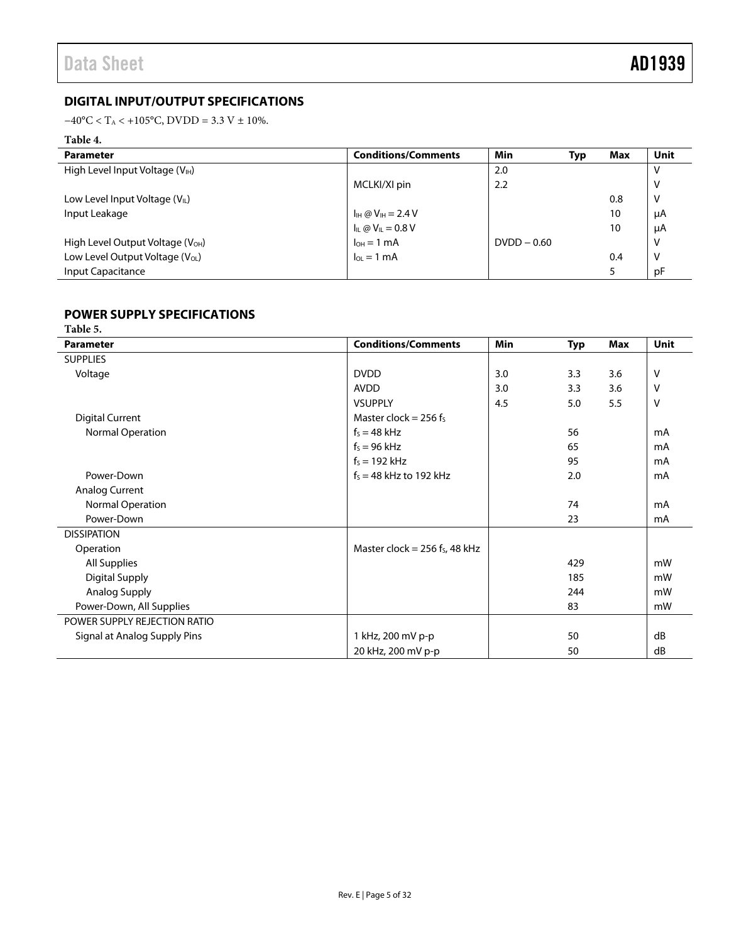### <span id="page-5-0"></span>**DIGITAL INPUT/OUTPUT SPECIFICATIONS**

 $-40\text{°C} <$  T<sub>A</sub> < +105°C, DVDD = 3.3 V ± 10%.

### **Table 4.**

| <b>Parameter</b>                             | <b>Conditions/Comments</b>              | Min            | Typ | Max | Unit |
|----------------------------------------------|-----------------------------------------|----------------|-----|-----|------|
| High Level Input Voltage $(V_{H})$           |                                         | 2.0            |     |     |      |
|                                              | MCLKI/XI pin                            | 2.2            |     |     | V    |
| Low Level Input Voltage $(VIL)$              |                                         |                |     | 0.8 | V    |
| Input Leakage                                | $I_{\text{IH}} @ V_{\text{IH}} = 2.4 V$ |                |     | 10  | μA   |
|                                              | $I_{IL} @ V_{IL} = 0.8 V$               |                |     | 10  | μA   |
| High Level Output Voltage (V <sub>OH</sub> ) | $I_{OH} = 1$ mA                         | $D VDD - 0.60$ |     |     | V    |
| Low Level Output Voltage (V <sub>OL</sub> )  | $I_{OL} = 1$ mA                         |                |     | 0.4 | V    |
| Input Capacitance                            |                                         |                |     |     | рF   |

### <span id="page-5-1"></span>**POWER SUPPLY SPECIFICATIONS**

| Table 5.                     |                                 |            |            |     |             |  |  |
|------------------------------|---------------------------------|------------|------------|-----|-------------|--|--|
| <b>Parameter</b>             | <b>Conditions/Comments</b>      | <b>Min</b> | <b>Typ</b> | Max | <b>Unit</b> |  |  |
| <b>SUPPLIES</b>              |                                 |            |            |     |             |  |  |
| Voltage                      | <b>DVDD</b>                     | 3.0        | 3.3        | 3.6 | V           |  |  |
|                              | <b>AVDD</b>                     | 3.0        | 3.3        | 3.6 | $\vee$      |  |  |
|                              | <b>VSUPPLY</b>                  | 4.5        | 5.0        | 5.5 | $\vee$      |  |  |
| <b>Digital Current</b>       | Master clock = $256$ fs         |            |            |     |             |  |  |
| Normal Operation             | $f_s = 48$ kHz                  |            | 56         |     | mA          |  |  |
|                              | $f_s = 96$ kHz                  |            | 65         |     | mA          |  |  |
|                              | $f_s = 192$ kHz                 |            | 95         |     | mA          |  |  |
| Power-Down                   | $f_s = 48$ kHz to 192 kHz       |            | 2.0        |     | mA          |  |  |
| <b>Analog Current</b>        |                                 |            |            |     |             |  |  |
| Normal Operation             |                                 |            | 74         |     | mA          |  |  |
| Power-Down                   |                                 |            | 23         |     | mA          |  |  |
| <b>DISSIPATION</b>           |                                 |            |            |     |             |  |  |
| Operation                    | Master clock = $256$ fs, 48 kHz |            |            |     |             |  |  |
| All Supplies                 |                                 |            | 429        |     | mW          |  |  |
| <b>Digital Supply</b>        |                                 |            | 185        |     | mW          |  |  |
| Analog Supply                |                                 |            | 244        |     | mW          |  |  |
| Power-Down, All Supplies     |                                 |            | 83         |     | mW          |  |  |
| POWER SUPPLY REJECTION RATIO |                                 |            |            |     |             |  |  |
| Signal at Analog Supply Pins | 1 kHz, 200 mV p-p               |            | 50         |     | dB          |  |  |
|                              | 20 kHz, 200 mV p-p              |            | 50         |     | dB          |  |  |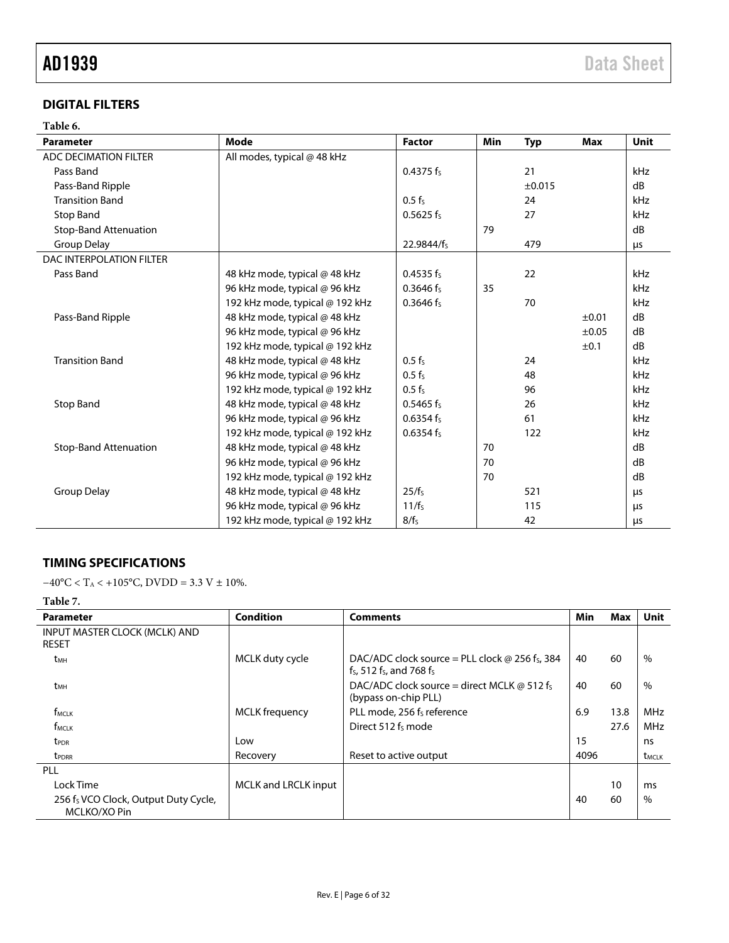### <span id="page-6-0"></span>**DIGITAL FILTERS**

### **Table 6.**

| Mode<br><b>Parameter</b>     |                                 | <b>Factor</b>      | Min | <b>Typ</b> | Max        | Unit |
|------------------------------|---------------------------------|--------------------|-----|------------|------------|------|
| ADC DECIMATION FILTER        | All modes, typical @ 48 kHz     |                    |     |            |            |      |
| Pass Band                    |                                 | 0.4375 $f_s$       |     | 21         |            | kHz  |
| Pass-Band Ripple             |                                 |                    |     | ±0.015     |            | dB   |
| <b>Transition Band</b>       |                                 | $0.5 f_s$          |     | 24         |            | kHz  |
| <b>Stop Band</b>             |                                 | $0.5625$ fs        |     | 27         |            | kHz  |
| <b>Stop-Band Attenuation</b> |                                 |                    | 79  |            |            | dB   |
| Group Delay                  |                                 | 22.9844/fs         |     | 479        |            | μs   |
| DAC INTERPOLATION FILTER     |                                 |                    |     |            |            |      |
| Pass Band                    | 48 kHz mode, typical @ 48 kHz   | $0.4535$ fs        |     | 22         |            | kHz  |
|                              | 96 kHz mode, typical @ 96 kHz   | $0.3646$ fs        | 35  |            |            | kHz  |
|                              | 192 kHz mode, typical @ 192 kHz | $0.3646$ fs        |     | 70         |            | kHz  |
| Pass-Band Ripple             | 48 kHz mode, typical @ 48 kHz   |                    |     |            | ±0.01      | dB   |
|                              | 96 kHz mode, typical @ 96 kHz   |                    |     |            | $\pm 0.05$ | dB   |
|                              | 192 kHz mode, typical @ 192 kHz |                    |     |            | ±0.1       | dB   |
| <b>Transition Band</b>       | 48 kHz mode, typical @ 48 kHz   | $0.5$ fs           |     | 24         |            | kHz  |
|                              | 96 kHz mode, typical @ 96 kHz   | 0.5 f <sub>S</sub> |     | 48         |            | kHz  |
|                              | 192 kHz mode, typical @ 192 kHz | $0.5$ fs           |     | 96         |            | kHz  |
| <b>Stop Band</b>             | 48 kHz mode, typical @ 48 kHz   | $0.5465 f_s$       |     | 26         |            | kHz  |
|                              | 96 kHz mode, typical @ 96 kHz   | $0.6354$ fs        |     | 61         |            | kHz  |
|                              | 192 kHz mode, typical @ 192 kHz | 0.6354 $f_s$       |     | 122        |            | kHz  |
| <b>Stop-Band Attenuation</b> | 48 kHz mode, typical @ 48 kHz   |                    | 70  |            |            | dB   |
|                              | 96 kHz mode, typical @ 96 kHz   |                    | 70  |            |            | dB   |
|                              | 192 kHz mode, typical @ 192 kHz |                    | 70  |            |            | dB   |
| <b>Group Delay</b>           | 48 kHz mode, typical @ 48 kHz   | $25/f_s$           |     | 521        |            | μs   |
|                              | 96 kHz mode, typical @ 96 kHz   | 11/f <sub>s</sub>  |     | 115        |            | μs   |
|                              | 192 kHz mode, typical @ 192 kHz | $8/f_s$            |     | 42         |            | μs   |

### <span id="page-6-1"></span>**TIMING SPECIFICATIONS**

 $-40$ °C < T<sub>A</sub> <  $+105$ °C, DVDD = 3.3 V ± 10%.

### **Table 7.**

| <b>Parameter</b>                                     | <b>Condition</b>      | <b>Comments</b>                                                                            | Min  | Max  | Unit                     |
|------------------------------------------------------|-----------------------|--------------------------------------------------------------------------------------------|------|------|--------------------------|
| INPUT MASTER CLOCK (MCLK) AND<br><b>RESET</b>        |                       |                                                                                            |      |      |                          |
| t <sub>MH</sub>                                      | MCLK duty cycle       | DAC/ADC clock source = PLL clock $\omega$ 256 fs, 384<br>$f_s$ , 512 $f_s$ , and 768 $f_s$ | 40   | 60   | $\%$                     |
| t <sub>MH</sub>                                      |                       | DAC/ADC clock source = direct MCLK $\omega$ 512 fs<br>(bypass on-chip PLL)                 | 40   | 60   | $\%$                     |
| f <sub>MCLK</sub>                                    | <b>MCLK</b> frequency | PLL mode, 256 f <sub>s</sub> reference                                                     | 6.9  | 13.8 | <b>MHz</b>               |
| f <sub>MCLK</sub>                                    |                       | Direct 512 fs mode                                                                         |      | 27.6 | <b>MHz</b>               |
| <b>t</b> <sub>PDR</sub>                              | Low                   |                                                                                            | 15   |      | ns                       |
| t <sub>PDRR</sub>                                    | Recovery              | Reset to active output                                                                     | 4096 |      | <b>t</b> <sub>MCLK</sub> |
| <b>PLL</b>                                           |                       |                                                                                            |      |      |                          |
| Lock Time                                            | MCLK and LRCLK input  |                                                                                            |      | 10   | ms                       |
| 256 fs VCO Clock, Output Duty Cycle,<br>MCLKO/XO Pin |                       |                                                                                            | 40   | 60   | $\%$                     |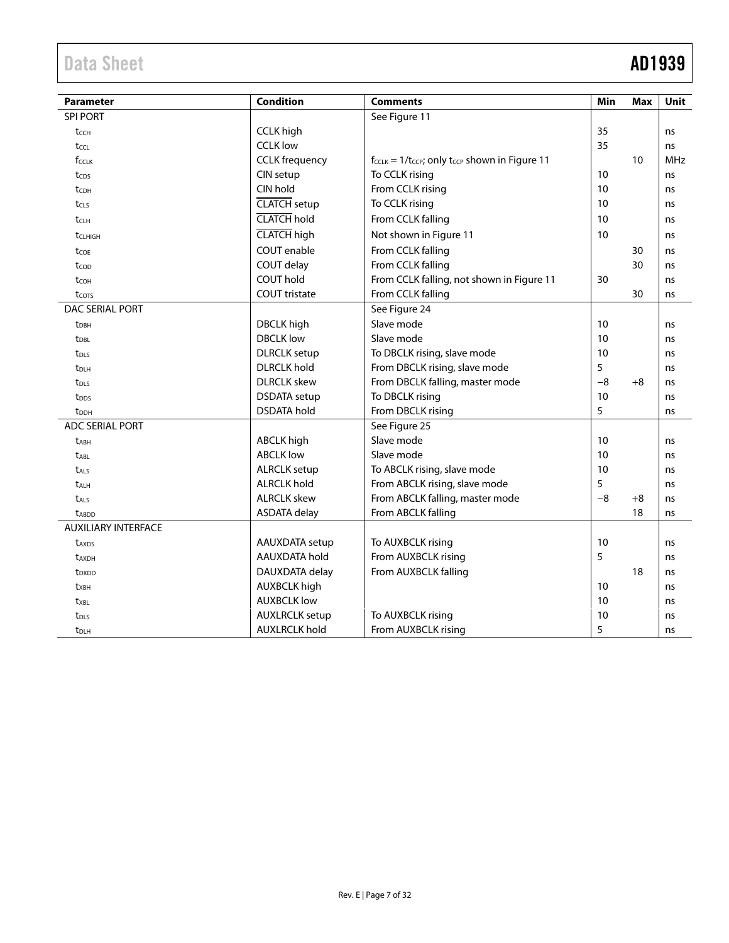# Data Sheet **AD1939**

| <b>Parameter</b>           | <b>Condition</b>      | <b>Comments</b>                                                   | Min  | Max  | <b>Unit</b> |
|----------------------------|-----------------------|-------------------------------------------------------------------|------|------|-------------|
| <b>SPI PORT</b>            |                       | See Figure 11                                                     |      |      |             |
| tcch                       | <b>CCLK</b> high      |                                                                   | 35   |      | ns          |
| tccl                       | <b>CCLK low</b>       |                                                                   | 35   |      | ns          |
| fcclk                      | <b>CCLK</b> frequency | $f_{CCLK} = 1/t_{CCP}$ ; only t <sub>CCP</sub> shown in Figure 11 |      | 10   | <b>MHz</b>  |
| tcps                       | CIN setup             | To CCLK rising                                                    | 10   |      | ns          |
| tc <sub>DH</sub>           | CIN hold              | From CCLK rising                                                  | 10   |      | ns          |
| $t_{CLS}$                  | <b>CLATCH</b> setup   | To CCLK rising                                                    | 10   |      | ns          |
| tclh                       | <b>CLATCH</b> hold    | From CCLK falling                                                 | 10   |      | ns          |
| tCLHIGH                    | <b>CLATCH</b> high    | Not shown in Figure 11                                            | 10   |      | ns          |
| tcoe                       | <b>COUT</b> enable    | From CCLK falling                                                 |      | 30   | ns          |
| $t_{\text{COD}}$           | COUT delay            | From CCLK falling                                                 |      | 30   | ns          |
| tcoh                       | <b>COUT hold</b>      | From CCLK falling, not shown in Figure 11                         | 30   |      | ns          |
| t <sub>cots</sub>          | <b>COUT tristate</b>  | From CCLK falling                                                 |      | 30   | ns          |
| DAC SERIAL PORT            |                       | See Figure 24                                                     |      |      |             |
| t <sub>DBH</sub>           | <b>DBCLK</b> high     | Slave mode                                                        | 10   |      | ns          |
| <b>t</b> <sub>DBL</sub>    | <b>DBCLK</b> low      | Slave mode                                                        | 10   |      | ns          |
| t <sub>DLS</sub>           | <b>DLRCLK</b> setup   | To DBCLK rising, slave mode                                       | 10   |      | ns          |
| t <sub>DLH</sub>           | <b>DLRCLK</b> hold    | From DBCLK rising, slave mode                                     | 5    |      | ns          |
| t <sub>DLS</sub>           | <b>DLRCLK</b> skew    | From DBCLK falling, master mode                                   | $-8$ | $+8$ | ns          |
| t <sub>DDS</sub>           | <b>DSDATA</b> setup   | To DBCLK rising                                                   | 10   |      | ns          |
| t <sub>DDH</sub>           | <b>DSDATA</b> hold    | From DBCLK rising                                                 | 5    |      | ns          |
| <b>ADC SERIAL PORT</b>     |                       | See Figure 25                                                     |      |      |             |
| <b>tABH</b>                | <b>ABCLK</b> high     | Slave mode                                                        | 10   |      | ns          |
| <b>t</b> ABL               | <b>ABCLK low</b>      | Slave mode                                                        | 10   |      | ns          |
| t <sub>ALS</sub>           | <b>ALRCLK</b> setup   | To ABCLK rising, slave mode                                       | 10   |      | ns          |
| <b>t</b> <sub>ALH</sub>    | <b>ALRCLK hold</b>    | From ABCLK rising, slave mode                                     | 5    |      | ns          |
| <b>t</b> <sub>ALS</sub>    | <b>ALRCLK skew</b>    | From ABCLK falling, master mode                                   | $-8$ | $+8$ | ns          |
| <b>t</b> ABDD              | <b>ASDATA delay</b>   | From ABCLK falling                                                |      | 18   | ns          |
| <b>AUXILIARY INTERFACE</b> |                       |                                                                   |      |      |             |
| t <sub>AXDS</sub>          | AAUXDATA setup        | To AUXBCLK rising                                                 | 10   |      | ns          |
| <b>t</b> AXDH              | AAUXDATA hold         | From AUXBCLK rising                                               | 5    |      | ns          |
| t <sub>DXDD</sub>          | DAUXDATA delay        | From AUXBCLK falling                                              |      | 18   | ns          |
| txBH                       | <b>AUXBCLK high</b>   |                                                                   | 10   |      | ns          |
| t <sub>XBL</sub>           | <b>AUXBCLK low</b>    |                                                                   | 10   |      | ns          |
| <b>t</b> <sub>DLS</sub>    | <b>AUXLRCLK</b> setup | To AUXBCLK rising                                                 | 10   |      | ns          |
| $t_{\text{DLH}}$           | <b>AUXLRCLK hold</b>  | From AUXBCLK rising                                               | 5    |      | ns          |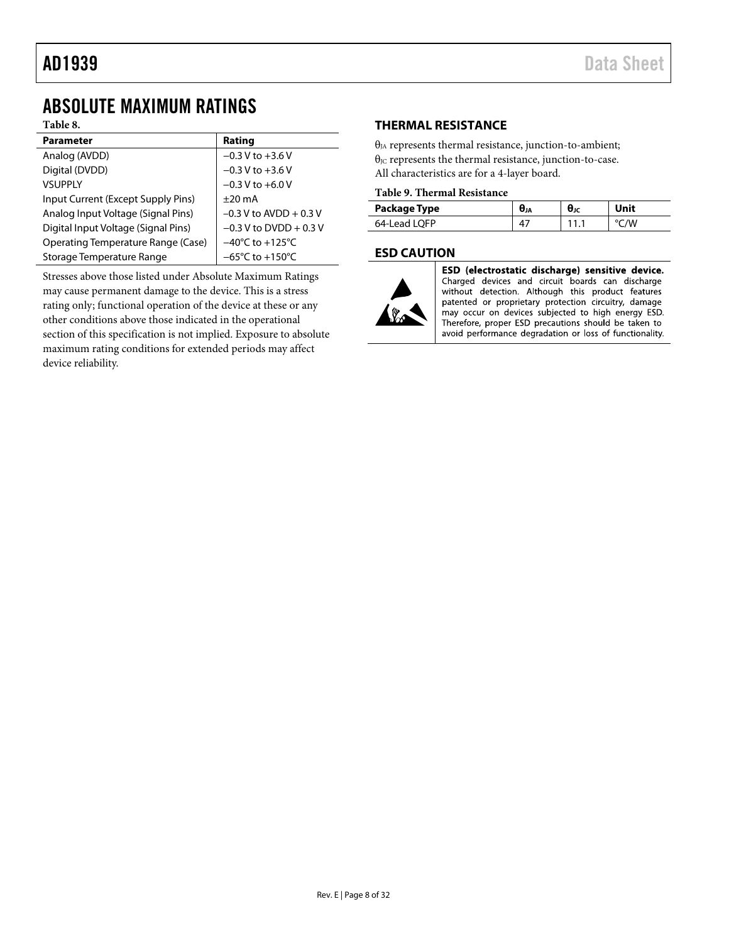## <span id="page-8-0"></span>ABSOLUTE MAXIMUM RATINGS

### **Table 8.**

| <b>Parameter</b>                    | Rating                              |
|-------------------------------------|-------------------------------------|
| Analog (AVDD)                       | $-0.3 V$ to $+3.6 V$                |
| Digital (DVDD)                      | $-0.3 V$ to $+3.6 V$                |
| <b>VSUPPLY</b>                      | $-0.3$ V to $+6.0$ V                |
| Input Current (Except Supply Pins)  | $+20 \text{ mA}$                    |
| Analog Input Voltage (Signal Pins)  | $-0.3$ V to AVDD + 0.3 V            |
| Digital Input Voltage (Signal Pins) | $-0.3$ V to DVDD + 0.3 V            |
| Operating Temperature Range (Case)  | $-40^{\circ}$ C to $+125^{\circ}$ C |
| Storage Temperature Range           | $-65^{\circ}$ C to $+150^{\circ}$ C |

Stresses above those listed under Absolute Maximum Ratings may cause permanent damage to the device. This is a stress rating only; functional operation of the device at these or any other conditions above those indicated in the operational section of this specification is not implied. Exposure to absolute maximum rating conditions for extended periods may affect device reliability.

### <span id="page-8-1"></span>**THERMAL RESISTANCE**

 $\theta_{JA}$  represents thermal resistance, junction-to-ambient;  $\theta_{\text{JC}}$  represents the thermal resistance, junction-to-case. All characteristics are for a 4-layer board.

#### **Table 9. Thermal Resistance**

| Package Type | UJA | $\theta_{\rm JC}$ | Unit |
|--------------|-----|-------------------|------|
| 64-Lead LOFP |     |                   | /W   |

### <span id="page-8-2"></span>**ESD CAUTION**



ESD (electrostatic discharge) sensitive device. Charged devices and circuit boards can discharge without detection. Although this product features patented or proprietary protection circuitry, damage may occur on devices subjected to high energy ESD. Therefore, proper ESD precautions should be taken to avoid performance degradation or loss of functionality.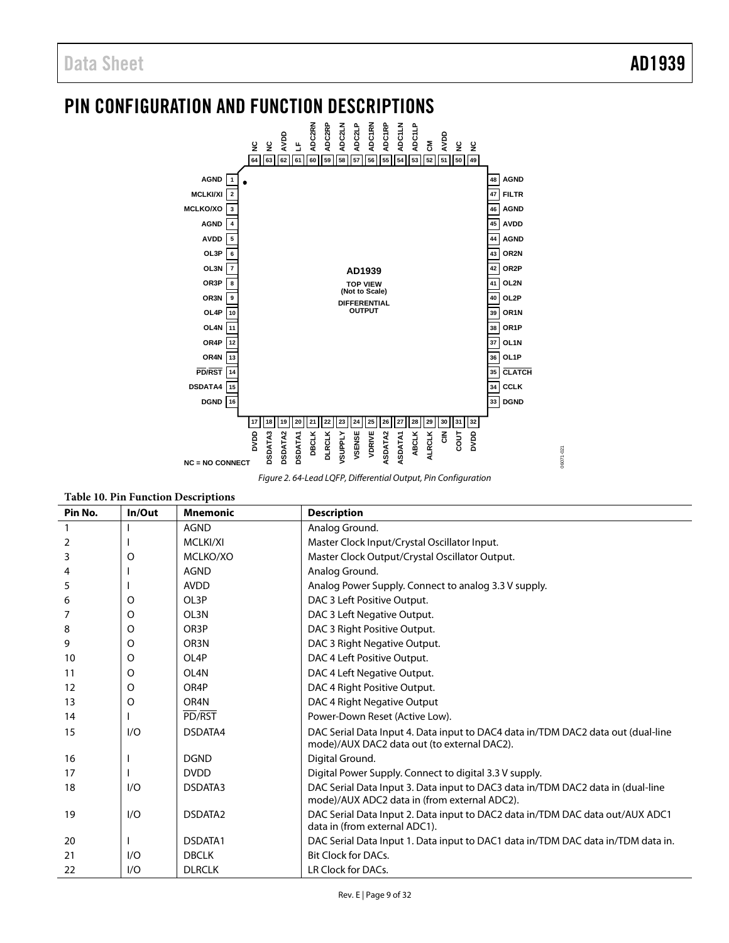06071-021

06071-021

## <span id="page-9-0"></span>PIN CONFIGURATION AND FUNCTION DESCRIPTIONS



*Figure 2. 64-Lead LQFP, Differential Output, Pin Configuration*

| <b>Table 10. Pin Function Descriptions</b> |          |                   |                                                                                                                                 |  |  |  |  |  |
|--------------------------------------------|----------|-------------------|---------------------------------------------------------------------------------------------------------------------------------|--|--|--|--|--|
| Pin No.                                    | In/Out   | <b>Mnemonic</b>   | <b>Description</b>                                                                                                              |  |  |  |  |  |
| $\mathbf{1}$                               |          | <b>AGND</b>       | Analog Ground.                                                                                                                  |  |  |  |  |  |
| 2                                          |          | MCLKI/XI          | Master Clock Input/Crystal Oscillator Input.                                                                                    |  |  |  |  |  |
| 3                                          | O        | MCLKO/XO          | Master Clock Output/Crystal Oscillator Output.                                                                                  |  |  |  |  |  |
| 4                                          |          | <b>AGND</b>       | Analog Ground.                                                                                                                  |  |  |  |  |  |
| 5                                          |          | <b>AVDD</b>       | Analog Power Supply. Connect to analog 3.3 V supply.                                                                            |  |  |  |  |  |
| 6                                          | O        | OL3P              | DAC 3 Left Positive Output.                                                                                                     |  |  |  |  |  |
| 7                                          | O        | OL3N              | DAC 3 Left Negative Output.                                                                                                     |  |  |  |  |  |
| 8                                          | $\Omega$ | OR <sub>3</sub> P | DAC 3 Right Positive Output.                                                                                                    |  |  |  |  |  |
| 9                                          | O        | OR <sub>3</sub> N | DAC 3 Right Negative Output.                                                                                                    |  |  |  |  |  |
| 10 <sup>10</sup>                           | O        | OL <sub>4</sub> P | DAC 4 Left Positive Output.                                                                                                     |  |  |  |  |  |
| 11                                         | $\Omega$ | OL4N              | DAC 4 Left Negative Output.                                                                                                     |  |  |  |  |  |
| 12                                         | O        | OR4P              | DAC 4 Right Positive Output.                                                                                                    |  |  |  |  |  |
| 13                                         | O        | OR <sub>4</sub> N | DAC 4 Right Negative Output                                                                                                     |  |  |  |  |  |
| 14                                         |          | PD/RST            | Power-Down Reset (Active Low).                                                                                                  |  |  |  |  |  |
| 15                                         | I/O      | DSDATA4           | DAC Serial Data Input 4. Data input to DAC4 data in/TDM DAC2 data out (dual-line<br>mode)/AUX DAC2 data out (to external DAC2). |  |  |  |  |  |
| 16                                         |          | <b>DGND</b>       | Digital Ground.                                                                                                                 |  |  |  |  |  |
| 17                                         |          | <b>DVDD</b>       | Digital Power Supply. Connect to digital 3.3 V supply.                                                                          |  |  |  |  |  |
| 18                                         | I/O      | DSDATA3           | DAC Serial Data Input 3. Data input to DAC3 data in/TDM DAC2 data in (dual-line<br>mode)/AUX ADC2 data in (from external ADC2). |  |  |  |  |  |
| 19                                         | I/O      | DSDATA2           | DAC Serial Data Input 2. Data input to DAC2 data in/TDM DAC data out/AUX ADC1<br>data in (from external ADC1).                  |  |  |  |  |  |
| 20                                         |          | DSDATA1           | DAC Serial Data Input 1. Data input to DAC1 data in/TDM DAC data in/TDM data in.                                                |  |  |  |  |  |
| 21                                         | I/O      | <b>DBCLK</b>      | <b>Bit Clock for DACs.</b>                                                                                                      |  |  |  |  |  |
| 22                                         | I/O      | <b>DLRCLK</b>     | LR Clock for DACs.                                                                                                              |  |  |  |  |  |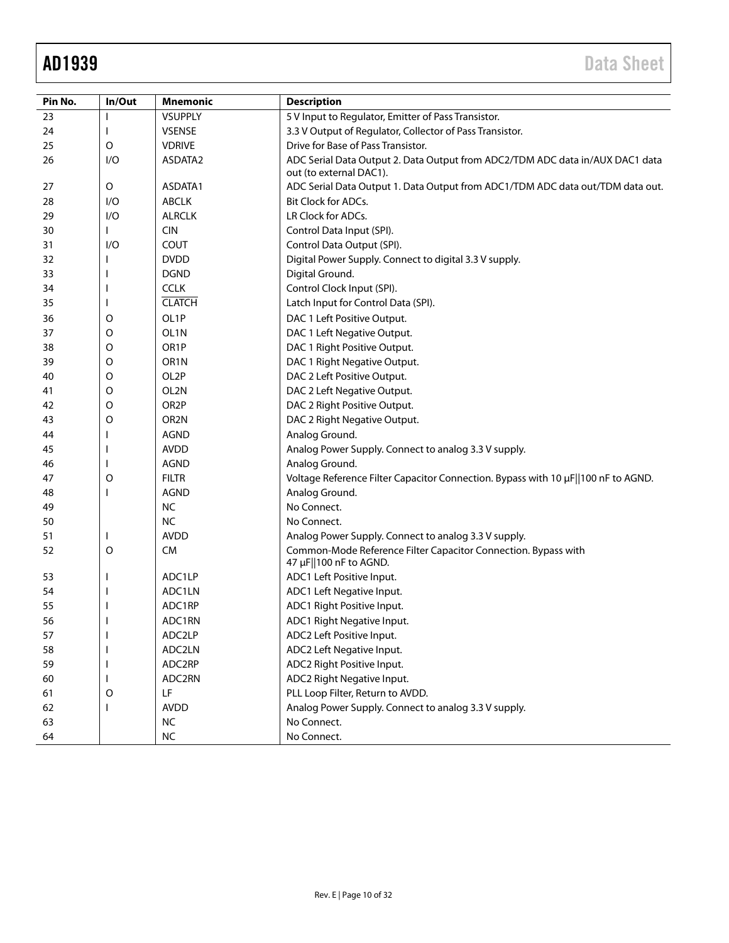| Pin No.  | In/Out  | <b>Mnemonic</b>   | <b>Description</b>                                                                                                     |
|----------|---------|-------------------|------------------------------------------------------------------------------------------------------------------------|
| 23       |         | <b>VSUPPLY</b>    | 5 V Input to Regulator, Emitter of Pass Transistor.                                                                    |
| 24       |         | <b>VSENSE</b>     | 3.3 V Output of Regulator, Collector of Pass Transistor.                                                               |
| 25       | O       | <b>VDRIVE</b>     | Drive for Base of Pass Transistor.                                                                                     |
| 26       | I/O     | ASDATA2           | ADC Serial Data Output 2. Data Output from ADC2/TDM ADC data in/AUX DAC1 data<br>out (to external DAC1).               |
| 27       | O       | ASDATA1           | ADC Serial Data Output 1. Data Output from ADC1/TDM ADC data out/TDM data out.                                         |
| 28       | 1/O     | <b>ABCLK</b>      | <b>Bit Clock for ADCs.</b>                                                                                             |
| 29       | I/O     | <b>ALRCLK</b>     | LR Clock for ADCs.                                                                                                     |
| 30       |         | <b>CIN</b>        | Control Data Input (SPI).                                                                                              |
| 31       | I/O     | COUT              | Control Data Output (SPI).                                                                                             |
| 32       |         | <b>DVDD</b>       | Digital Power Supply. Connect to digital 3.3 V supply.                                                                 |
| 33       |         | <b>DGND</b>       | Digital Ground.                                                                                                        |
| 34       |         | <b>CCLK</b>       | Control Clock Input (SPI).                                                                                             |
| 35       |         | <b>CLATCH</b>     | Latch Input for Control Data (SPI).                                                                                    |
| 36       | O       | OL <sub>1</sub> P | DAC 1 Left Positive Output.                                                                                            |
| 37       | O       | OL1N              | DAC 1 Left Negative Output.                                                                                            |
| 38       | O       | OR <sub>1</sub> P | DAC 1 Right Positive Output.                                                                                           |
| 39       | O       | OR <sub>1</sub> N | DAC 1 Right Negative Output.                                                                                           |
| 40       | O       | OL2P              | DAC 2 Left Positive Output.                                                                                            |
| 41       | O       | OL2N              | DAC 2 Left Negative Output.                                                                                            |
| 42       | O       | OR <sub>2</sub> P | DAC 2 Right Positive Output.                                                                                           |
| 43       | O       | OR <sub>2</sub> N | DAC 2 Right Negative Output.                                                                                           |
| 44       |         | <b>AGND</b>       | Analog Ground.                                                                                                         |
| 45       |         | <b>AVDD</b>       | Analog Power Supply. Connect to analog 3.3 V supply.                                                                   |
| 46       | L       | <b>AGND</b>       | Analog Ground.                                                                                                         |
| 47       |         | <b>FILTR</b>      | Voltage Reference Filter Capacitor Connection. Bypass with 10 µF  100 nF to AGND.                                      |
| 48       | O       | <b>AGND</b>       | Analog Ground.                                                                                                         |
|          |         | <b>NC</b>         | No Connect.                                                                                                            |
| 49<br>50 |         | <b>NC</b>         | No Connect.                                                                                                            |
| 51       |         | <b>AVDD</b>       |                                                                                                                        |
|          | $\circ$ | <b>CM</b>         | Analog Power Supply. Connect to analog 3.3 V supply.<br>Common-Mode Reference Filter Capacitor Connection. Bypass with |
| 52       |         |                   | 47 µF  100 nF to AGND.                                                                                                 |
| 53       |         | ADC1LP            | ADC1 Left Positive Input.                                                                                              |
| 54       |         | ADC1LN            | ADC1 Left Negative Input.                                                                                              |
| 55       |         | ADC1RP            | ADC1 Right Positive Input.                                                                                             |
| 56       |         | ADC1RN            | ADC1 Right Negative Input.                                                                                             |
| 57       |         | ADC2LP            | ADC2 Left Positive Input.                                                                                              |
| 58       |         | ADC2LN            | ADC2 Left Negative Input.                                                                                              |
| 59       |         | ADC2RP            | ADC2 Right Positive Input.                                                                                             |
| 60       |         | ADC2RN            | ADC2 Right Negative Input.                                                                                             |
| 61       | O       | LF                | PLL Loop Filter, Return to AVDD.                                                                                       |
| 62       |         | <b>AVDD</b>       | Analog Power Supply. Connect to analog 3.3 V supply.                                                                   |
| 63       |         | <b>NC</b>         | No Connect.                                                                                                            |
| 64       |         | $NC$              | No Connect.                                                                                                            |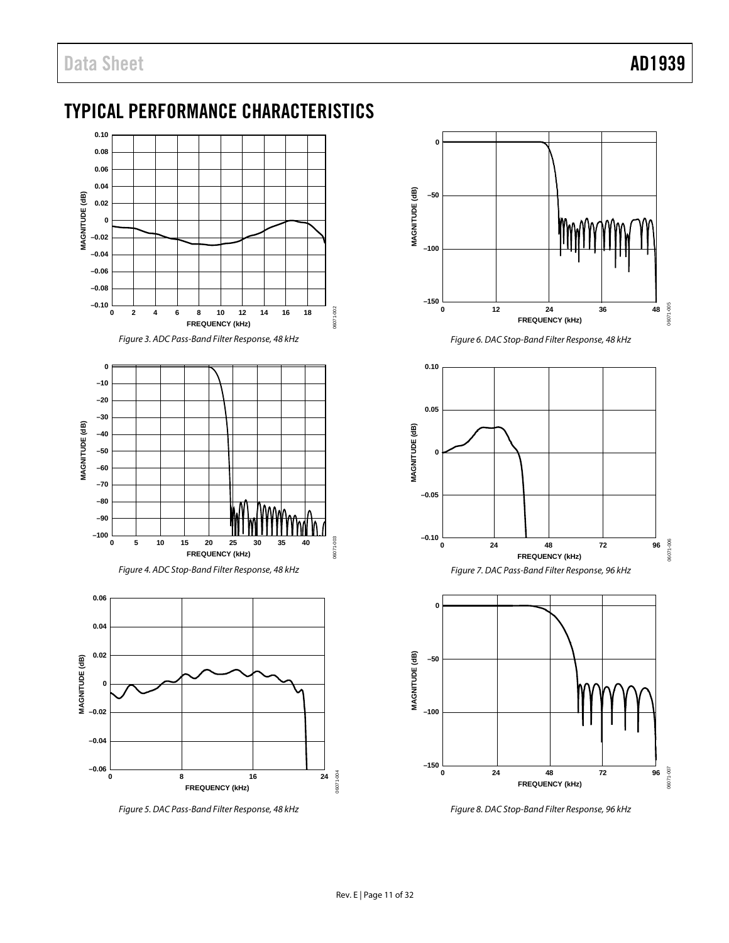## <span id="page-11-0"></span>TYPICAL PERFORMANCE CHARACTERISTICS





*Figure 5. DAC Pass-Band Filter Response, 48 kHz*



*Figure 6. DAC Stop-Band Filter Response, 48 kHz*





*Figure 8. DAC Stop-Band Filter Response, 96 kHz*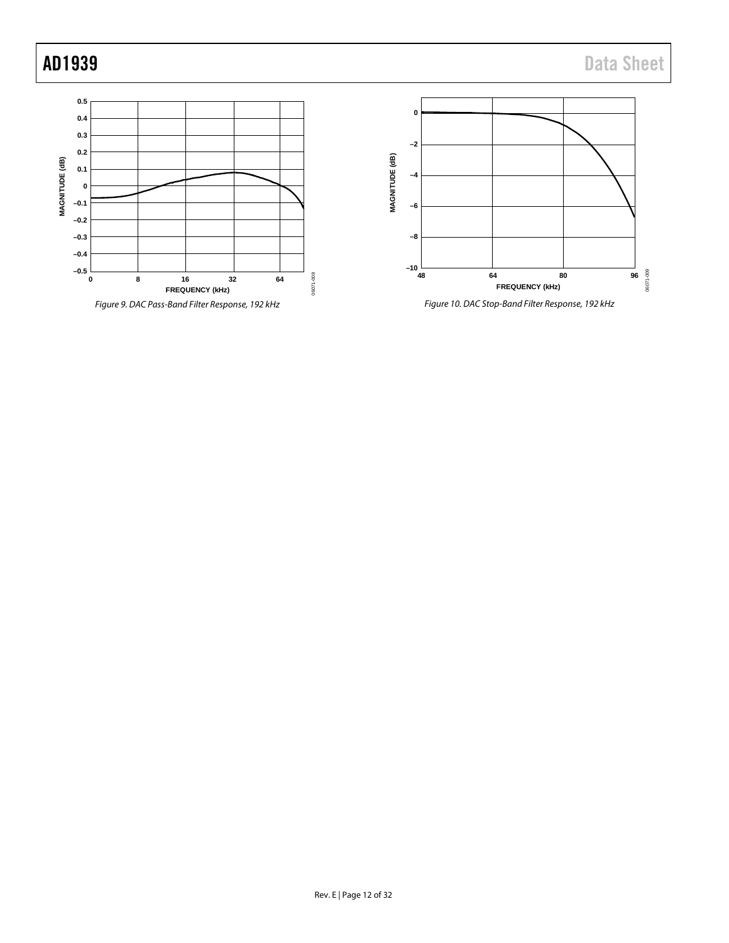



*Figure 10. DAC Stop-Band Filter Response, 192 kHz*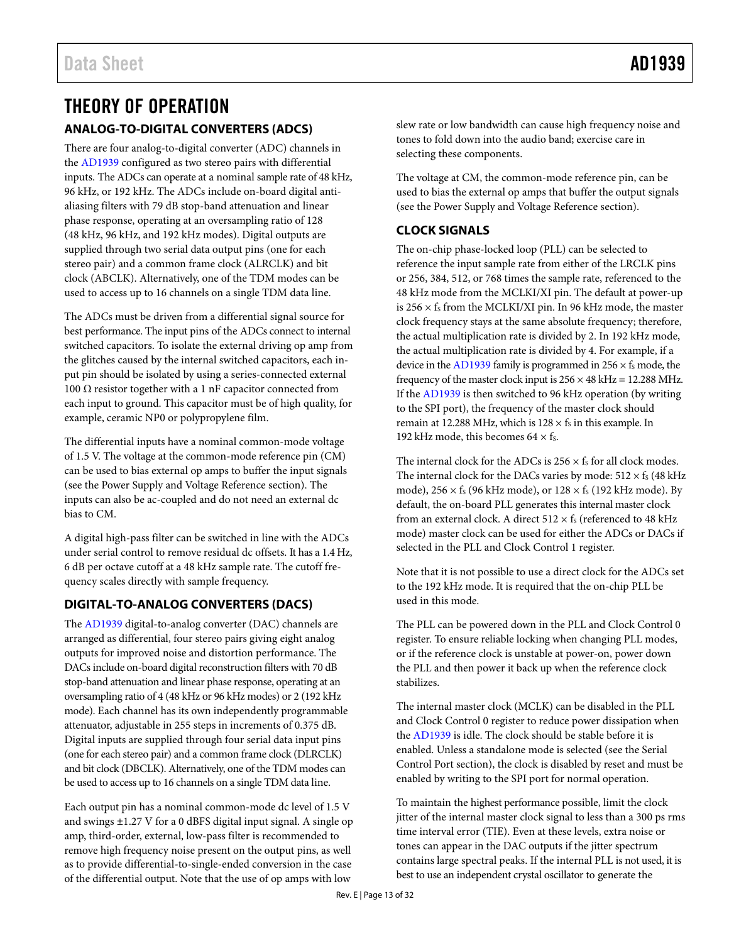### <span id="page-13-1"></span><span id="page-13-0"></span>THEORY OF OPERATION **ANALOG-TO-DIGITAL CONVERTERS (ADCS)**

There are four analog-to-digital converter (ADC) channels in the [AD1939](http://www.analog.com/AD1939?doc=AD1939.pdf) configured as two stereo pairs with differential inputs. The ADCs can operate at a nominal sample rate of 48 kHz, 96 kHz, or 192 kHz. The ADCs include on-board digital antialiasing filters with 79 dB stop-band attenuation and linear phase response, operating at an oversampling ratio of 128 (48 kHz, 96 kHz, and 192 kHz modes). Digital outputs are supplied through two serial data output pins (one for each stereo pair) and a common frame clock (ALRCLK) and bit clock (ABCLK). Alternatively, one of the TDM modes can be used to access up to 16 channels on a single TDM data line.

The ADCs must be driven from a differential signal source for best performance. The input pins of the ADCs connect to internal switched capacitors. To isolate the external driving op amp from the glitches caused by the internal switched capacitors, each input pin should be isolated by using a series-connected external 100 Ω resistor together with a 1 nF capacitor connected from each input to ground. This capacitor must be of high quality, for example, ceramic NP0 or polypropylene film.

The differential inputs have a nominal common-mode voltage of 1.5 V. The voltage at the common-mode reference pin (CM) can be used to bias external op amps to buffer the input signals (see th[e Power Supply and Voltage Reference](#page-15-0) section). The inputs can also be ac-coupled and do not need an external dc bias to CM.

A digital high-pass filter can be switched in line with the ADCs under serial control to remove residual dc offsets. It has a 1.4 Hz, 6 dB per octave cutoff at a 48 kHz sample rate. The cutoff frequency scales directly with sample frequency.

### <span id="page-13-2"></span>**DIGITAL-TO-ANALOG CONVERTERS (DACS)**

The [AD1939](http://www.analog.com/AD1939?doc=AD1939.pdf) digital-to-analog converter (DAC) channels are arranged as differential, four stereo pairs giving eight analog outputs for improved noise and distortion performance. The DACs include on-board digital reconstruction filters with 70 dB stop-band attenuation and linear phase response, operating at an oversampling ratio of 4 (48 kHz or 96 kHz modes) or 2 (192 kHz mode). Each channel has its own independently programmable attenuator, adjustable in 255 steps in increments of 0.375 dB. Digital inputs are supplied through four serial data input pins (one for each stereo pair) and a common frame clock (DLRCLK) and bit clock (DBCLK). Alternatively, one of the TDM modes can be used to access up to 16 channels on a single TDM data line.

Each output pin has a nominal common-mode dc level of 1.5 V and swings ±1.27 V for a 0 dBFS digital input signal. A single op amp, third-order, external, low-pass filter is recommended to remove high frequency noise present on the output pins, as well as to provide differential-to-single-ended conversion in the case of the differential output. Note that the use of op amps with low

slew rate or low bandwidth can cause high frequency noise and tones to fold down into the audio band; exercise care in selecting these components.

The voltage at CM, the common-mode reference pin, can be used to bias the external op amps that buffer the output signals (see th[e Power Supply and Voltage Reference](#page-15-0) section).

### <span id="page-13-3"></span>**CLOCK SIGNALS**

The on-chip phase-locked loop (PLL) can be selected to reference the input sample rate from either of the LRCLK pins or 256, 384, 512, or 768 times the sample rate, referenced to the 48 kHz mode from the MCLKI/XI pin. The default at power-up is 256  $\times$  fs from the MCLKI/XI pin. In 96 kHz mode, the master clock frequency stays at the same absolute frequency; therefore, the actual multiplication rate is divided by 2. In 192 kHz mode, the actual multiplication rate is divided by 4. For example, if a device in th[e AD1939](http://www.analog.com/AD1939?doc=AD1939.pdf) family is programmed in  $256 \times f_s$  mode, the frequency of the master clock input is  $256 \times 48$  kHz = 12.288 MHz. If th[e AD1939](http://www.analog.com/AD1939?doc=AD1939.pdf) is then switched to 96 kHz operation (by writing to the SPI port), the frequency of the master clock should remain at 12.288 MHz, which is  $128 \times f_s$  in this example. In 192 kHz mode, this becomes  $64 \times f_s$ .

The internal clock for the ADCs is  $256 \times f_s$  for all clock modes. The internal clock for the DACs varies by mode:  $512 \times f_s$  (48 kHz mode),  $256 \times f_s$  (96 kHz mode), or  $128 \times f_s$  (192 kHz mode). By default, the on-board PLL generates this internal master clock from an external clock. A direct  $512 \times f_s$  (referenced to 48 kHz mode) master clock can be used for either the ADCs or DACs if selected in the PLL and Clock Control 1 register.

Note that it is not possible to use a direct clock for the ADCs set to the 192 kHz mode. It is required that the on-chip PLL be used in this mode.

The PLL can be powered down in the PLL and Clock Control 0 register. To ensure reliable locking when changing PLL modes, or if the reference clock is unstable at power-on, power down the PLL and then power it back up when the reference clock stabilizes.

The internal master clock (MCLK) can be disabled in the PLL and Clock Control 0 register to reduce power dissipation when the [AD1939](http://www.analog.com/AD1939?doc=AD1939.pdf) is idle. The clock should be stable before it is enabled. Unless a standalone mode is selected (see th[e Serial](#page-14-1)  [Control Port](#page-14-1) section), the clock is disabled by reset and must be enabled by writing to the SPI port for normal operation.

To maintain the highest performance possible, limit the clock jitter of the internal master clock signal to less than a 300 ps rms time interval error (TIE). Even at these levels, extra noise or tones can appear in the DAC outputs if the jitter spectrum contains large spectral peaks. If the internal PLL is not used, it is best to use an independent crystal oscillator to generate the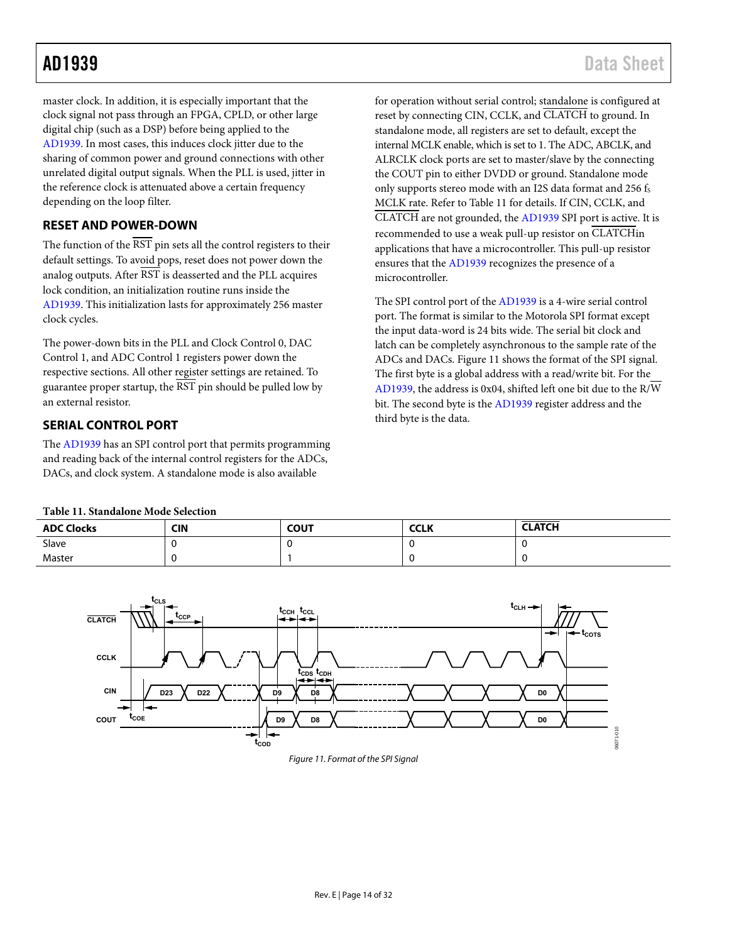master clock. In addition, it is especially important that the clock signal not pass through an FPGA, CPLD, or other large digital chip (such as a DSP) before being applied to the [AD1939.](http://www.analog.com/AD1939?doc=AD1939.pdf) In most cases, this induces clock jitter due to the sharing of common power and ground connections with other unrelated digital output signals. When the PLL is used, jitter in the reference clock is attenuated above a certain frequency depending on the loop filter.

### <span id="page-14-0"></span>**RESET AND POWER-DOWN**

The function of the  $\overline{\text{RST}}$  pin sets all the control registers to their default settings. To avoid pops, reset does not power down the analog outputs. After RST is deasserted and the PLL acquires lock condition, an initialization routine runs inside the [AD1939.](http://www.analog.com/AD1939?doc=AD1939.pdf) This initialization lasts for approximately 256 master clock cycles.

The power-down bits in the PLL and Clock Control 0, DAC Control 1, and ADC Control 1 registers power down the respective sections. All other register settings are retained. To guarantee proper startup, the  $\overline{RST}$  pin should be pulled low by an external resistor.

### <span id="page-14-1"></span>**SERIAL CONTROL PORT**

<span id="page-14-3"></span>The [AD1939 h](http://www.analog.com/AD1939?doc=AD1939.pdf)as an SPI control port that permits programming and reading back of the internal control registers for the ADCs, DACs, and clock system. A standalone mode is also available

for operation without serial control; standalone is configured at reset by connecting CIN, CCLK, and CLATCH to ground. In standalone mode, all registers are set to default, except the internal MCLK enable, which is set to 1. The ADC, ABCLK, and ALRCLK clock ports are set to master/slave by the connecting the COUT pin to either DVDD or ground. Standalone mode only supports stereo mode with an I2S data format and 256 fs MCLK rate. Refer t[o Table 11](#page-14-3) for details. If CIN, CCLK, and CLATCH are not grounded, the [AD1939 S](http://www.analog.com/AD1939?doc=AD1939.pdf)PI port is active. It is recommended to use a weak pull-up resistor on CLATCHin applications that have a microcontroller. This pull-up resistor ensures that the [AD1939 r](http://www.analog.com/AD1939?doc=AD1939.pdf)ecognizes the presence of a microcontroller.

The SPI control port of the [AD1939 is](http://www.analog.com/AD1939?doc=AD1939.pdf) a 4-wire serial control port. The format is similar to the Motorola SPI format except the input data-word is 24 bits wide. The serial bit clock and latch can be completely asynchronous to the sample rate of the ADCs and DACs. [Figure 11 s](#page-14-2)hows the format of the SPI signal. The first byte is a global address with a read/write bit. For the [AD1939,](http://www.analog.com/AD1939?doc=AD1939.pdf) the address is 0x04, shifted left one bit due to the R/W bit. The second byte is the [AD1939 r](http://www.analog.com/AD1939?doc=AD1939.pdf)egister address and the third byte is the data.

### **Table 11. Standalone Mode Selection**

| <b>ADC Clocks</b> | <b>CIN</b> | <b>COUT</b> | <b>CCLK</b> | <b>CLATCH</b> |
|-------------------|------------|-------------|-------------|---------------|
| Slave             |            |             |             |               |
| Master            |            |             |             |               |

<span id="page-14-2"></span>

#### Figure 11. Format of the SPI Signal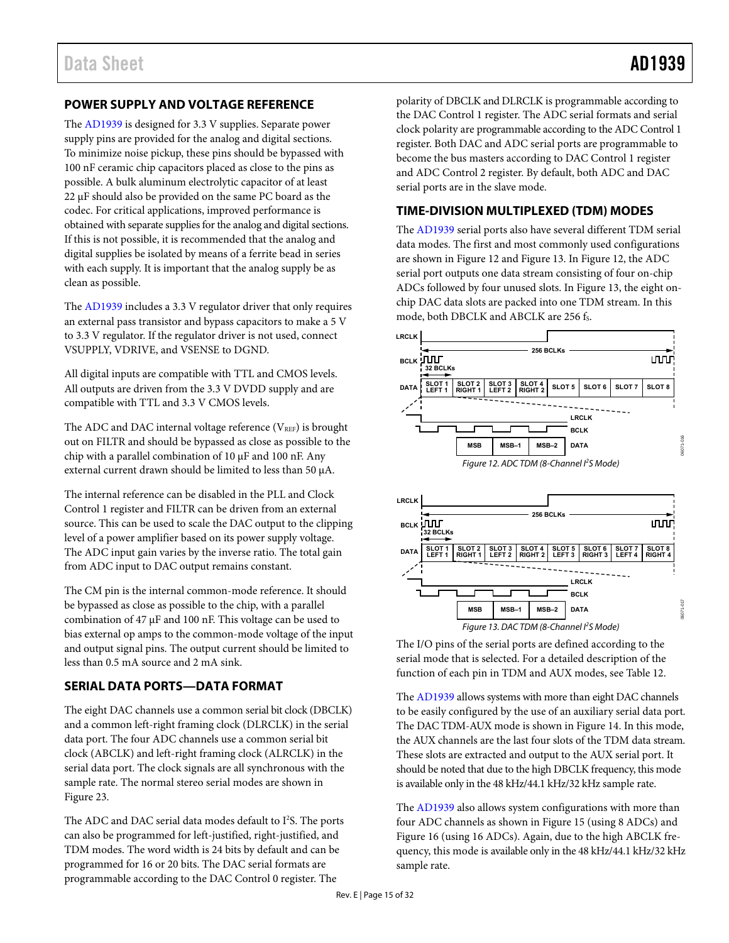### <span id="page-15-0"></span>**POWER SUPPLY AND VOLTAGE REFERENCE**

The [AD1939 i](http://www.analog.com/AD1939?doc=AD1939.pdf)s designed for 3.3 V supplies. Separate power supply pins are provided for the analog and digital sections. To minimize noise pickup, these pins should be bypassed with 100 nF ceramic chip capacitors placed as close to the pins as possible. A bulk aluminum electrolytic capacitor of at least 22 μF should also be provided on the same PC board as the codec. For critical applications, improved performance is obtained with separate supplies for the analog and digital sections. If this is not possible, it is recommended that the analog and digital supplies be isolated by means of a ferrite bead in series with each supply. It is important that the analog supply be as clean as possible.

The [AD1939](http://www.analog.com/AD1939?doc=AD1939.pdf) includes a 3.3 V regulator driver that only requires an external pass transistor and bypass capacitors to make a 5 V to 3.3 V regulator. If the regulator driver is not used, connect VSUPPLY, VDRIVE, and VSENSE to DGND.

All digital inputs are compatible with TTL and CMOS levels. All outputs are driven from the 3.3 V DVDD supply and are compatible with TTL and 3.3 V CMOS levels.

The ADC and DAC internal voltage reference ( $V_{REF}$ ) is brought out on FILTR and should be bypassed as close as possible to the chip with a parallel combination of 10 μF and 100 nF. Any external current drawn should be limited to less than 50 μA.

The internal reference can be disabled in the PLL and Clock Control 1 register and FILTR can be driven from an external source. This can be used to scale the DAC output to the clipping level of a power amplifier based on its power supply voltage. The ADC input gain varies by the inverse ratio. The total gain from ADC input to DAC output remains constant.

The CM pin is the internal common-mode reference. It should be bypassed as close as possible to the chip, with a parallel combination of 47 μF and 100 nF. This voltage can be used to bias external op amps to the common-mode voltage of the input and output signal pins. The output current should be limited to less than 0.5 mA source and 2 mA sink.

### <span id="page-15-1"></span>**SERIAL DATA PORTS—DATA FORMAT**

The eight DAC channels use a common serial bit clock (DBCLK) and a common left-right framing clock (DLRCLK) in the serial data port. The four ADC channels use a common serial bit clock (ABCLK) and left-right framing clock (ALRCLK) in the serial data port. The clock signals are all synchronous with the sample rate. The normal stereo serial modes are shown in [Figure 23.](#page-21-0) 

The ADC and DAC serial data modes default to I<sup>2</sup>S. The ports can also be programmed for left-justified, right-justified, and TDM modes. The word width is 24 bits by default and can be programmed for 16 or 20 bits. The DAC serial formats are programmable according to the DAC Control 0 register. The

polarity of DBCLK and DLRCLK is programmable according to the DAC Control 1 register. The ADC serial formats and serial clock polarity are programmable according to the ADC Control 1 register. Both DAC and ADC serial ports are programmable to become the bus masters according to DAC Control 1 register and ADC Control 2 register. By default, both ADC and DAC serial ports are in the slave mode.

### <span id="page-15-2"></span>**TIME-DIVISION MULTIPLEXED (TDM) MODES**

The [AD1939](http://www.analog.com/AD1939?doc=AD1939.pdf) serial ports also have several different TDM serial data modes. The first and most commonly used configurations are shown i[n Figure 12 a](#page-15-3)nd [Figure 13.](#page-15-4) I[n Figure 12,](#page-15-3) the ADC serial port outputs one data stream consisting of four on-chip ADCs followed by four unused slots. I[n Figure 13,](#page-15-4) the eight onchip DAC data slots are packed into one TDM stream. In this mode, both DBCLK and ABCLK are 256 fs.

<span id="page-15-3"></span>

<span id="page-15-4"></span>The I/O pins of the serial ports are defined according to the serial mode that is selected. For a detailed description of the function of each pin in TDM and AUX modes, see [Table 12.](#page-16-0) 

The [AD1939 a](http://www.analog.com/AD1939?doc=AD1939.pdf)llows systems with more than eight DAC channels to be easily configured by the use of an auxiliary serial data port. The DAC TDM-AUX mode is shown i[n Figure 14.](#page-16-1) In this mode, the AUX channels are the last four slots of the TDM data stream. These slots are extracted and output to the AUX serial port. It should be noted that due to the high DBCLK frequency, this mode is available only in the 48 kHz/44.1 kHz/32 kHz sample rate.

The [AD1939](http://www.analog.com/AD1939?doc=AD1939.pdf) also allows system configurations with more than four ADC channels as shown i[n Figure 15](#page-17-0) (using 8 ADCs) and [Figure 16 \(](#page-17-1)using 16 ADCs). Again, due to the high ABCLK frequency, this mode is available only in the 48 kHz/44.1 kHz/32 kHz sample rate.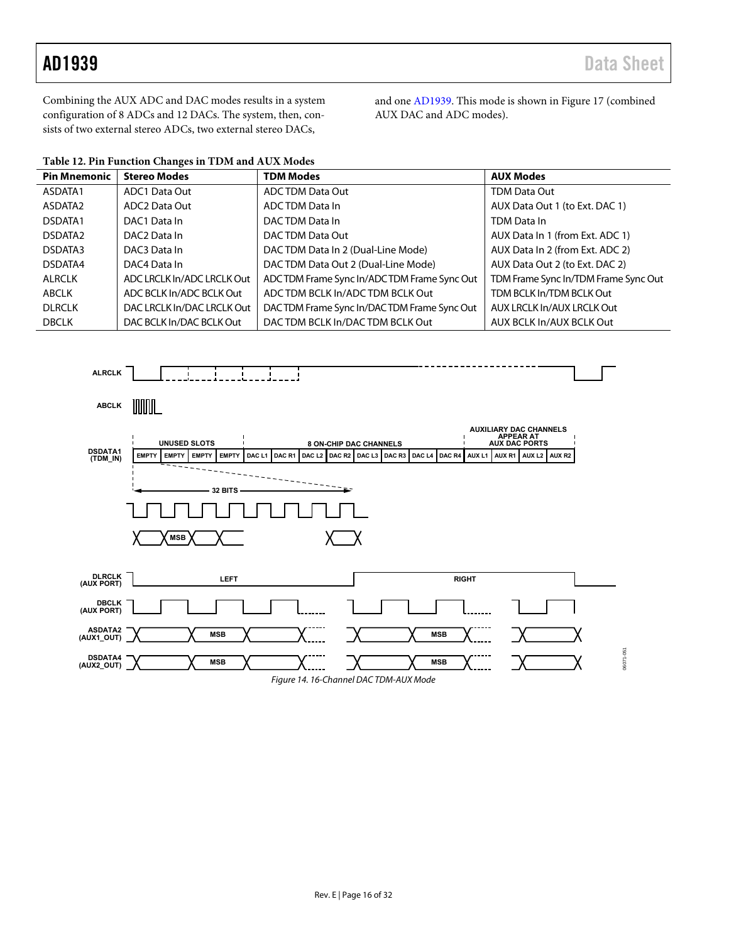Combining the AUX ADC and DAC modes results in a system configuration of 8 ADCs and 12 DACs. The system, then, consists of two external stereo ADCs, two external stereo DACs,

and on[e AD1939.](http://www.analog.com/AD1939?doc=AD1939.pdf) This mode is shown i[n Figure 17 \(](#page-18-0)combined AUX DAC and ADC modes).

<span id="page-16-0"></span>

| Table 12. Pin Function Changes in TDM and AUX Modes |  |
|-----------------------------------------------------|--|
|-----------------------------------------------------|--|

| <b>Pin Mnemonic</b> | <b>Stereo Modes</b>        | <b>TDM Modes</b>                           | <b>AUX Modes</b>                     |
|---------------------|----------------------------|--------------------------------------------|--------------------------------------|
| ASDATA1             | ADC1 Data Out              | <b>ADC TDM Data Out</b>                    | TDM Data Out                         |
| ASDATA2             | ADC2 Data Out              | ADC TDM Data In                            | AUX Data Out 1 (to Ext. DAC 1)       |
| DSDATA1             | DAC1 Data In               | DACTDM Data In                             | TDM Data In                          |
| DSDATA <sub>2</sub> | DAC <sub>2</sub> Data In   | DACTDM Data Out                            | AUX Data In 1 (from Ext. ADC 1)      |
| DSDATA3             | DAC3 Data In               | DAC TDM Data In 2 (Dual-Line Mode)         | AUX Data In 2 (from Ext. ADC 2)      |
| DSDATA4             | DAC4 Data In               | DACTDM Data Out 2 (Dual-Line Mode)         | AUX Data Out 2 (to Ext. DAC 2)       |
| <b>ALRCLK</b>       | ADC LRCLK In/ADC LRCLK Out | ADCTDM Frame Sync In/ADCTDM Frame Sync Out | TDM Frame Sync In/TDM Frame Sync Out |
| <b>ABCLK</b>        | ADC BCLK In/ADC BCLK Out   | ADC TDM BCLK In/ADC TDM BCLK Out           | TDM BCLK In/TDM BCLK Out             |
| <b>DLRCLK</b>       | DAC LRCLK In/DAC LRCLK Out | DACTDM Frame Sync In/DACTDM Frame Sync Out | AUX LRCLK In/AUX LRCLK Out           |
| <b>DBCLK</b>        | DAC BCLK In/DAC BCLK Out   | DACTDM BCLK In/DACTDM BCLK Out             | AUX BCLK In/AUX BCLK Out             |

<span id="page-16-1"></span>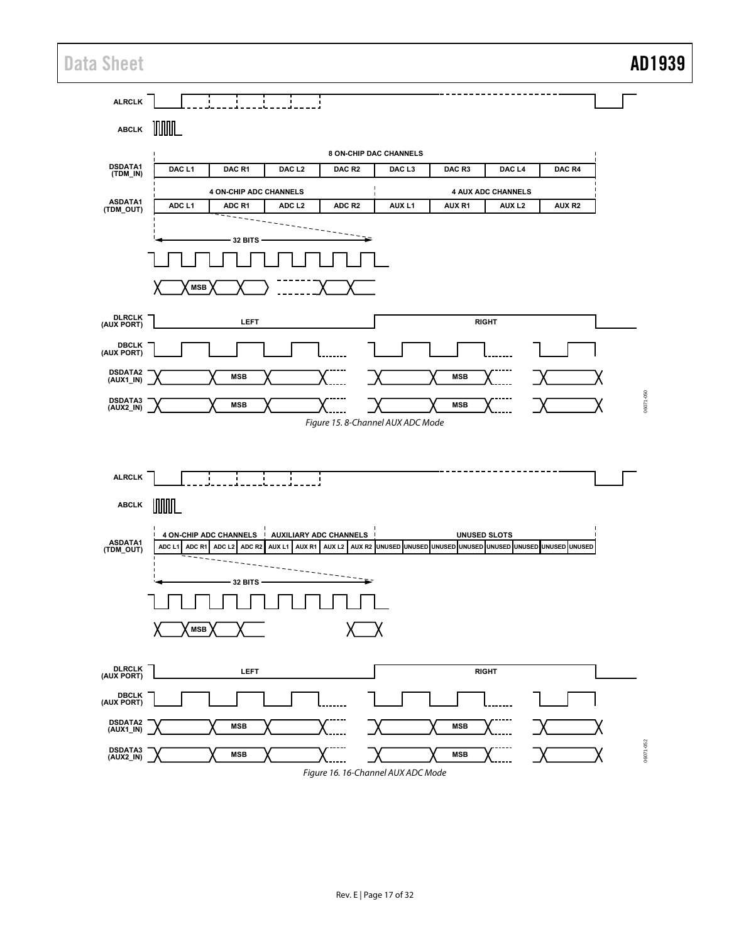### Data Sheet **AD1939**

<span id="page-17-1"></span><span id="page-17-0"></span>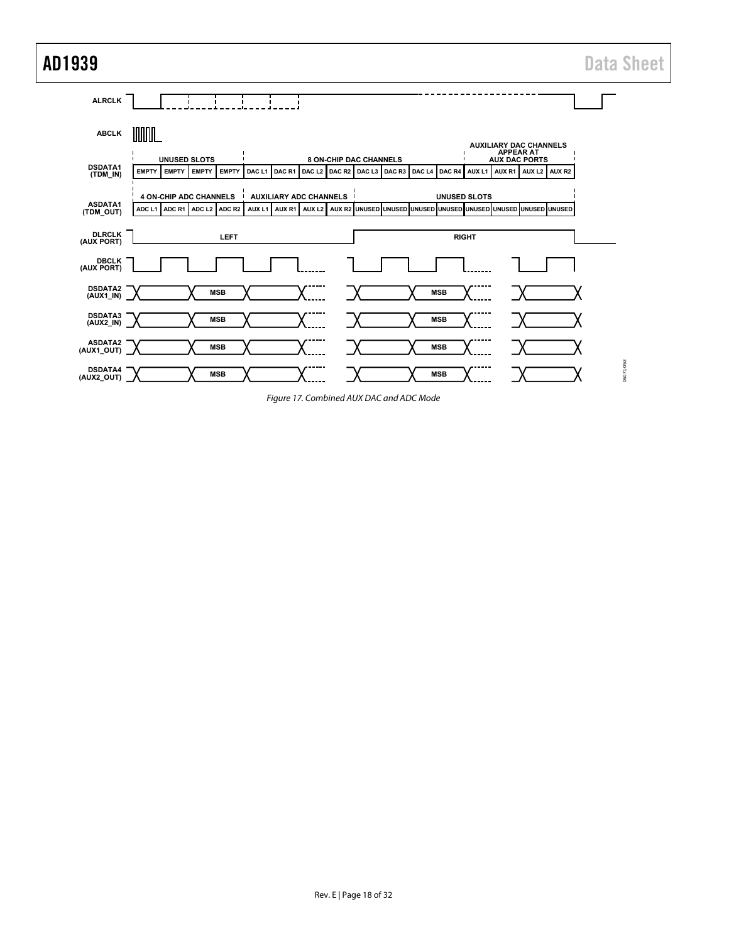AD1939 Data Sheet



<span id="page-18-0"></span>Figure 17. Combined AUX DAC and ADC Mode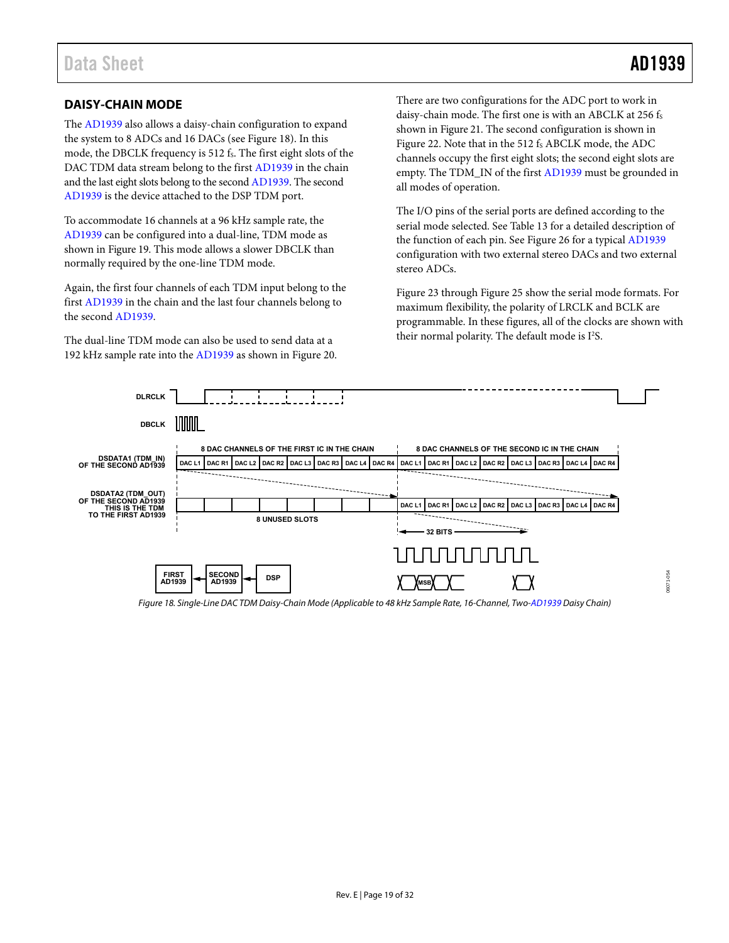06071-054

### <span id="page-19-0"></span>**DAISY-CHAIN MODE**

The [AD1939](http://www.analog.com/AD1939?doc=AD1939.pdf) also allows a daisy-chain configuration to expand the system to 8 ADCs and 16 DACs (see [Figure 18\)](#page-19-1). In this mode, the DBCLK frequency is 512 fs. The first eight slots of the DAC TDM data stream belong to the first [AD1939](http://www.analog.com/AD1939?doc=AD1939.pdf) in the chain and the last eight slots belong to the secon[d AD1939.](http://www.analog.com/AD1939?doc=AD1939.pdf) The second [AD1939 i](http://www.analog.com/AD1939?doc=AD1939.pdf)s the device attached to the DSP TDM port.

To accommodate 16 channels at a 96 kHz sample rate, the [AD1939 c](http://www.analog.com/AD1939?doc=AD1939.pdf)an be configured into a dual-line, TDM mode as shown in [Figure 19.](#page-20-0) This mode allows a slower DBCLK than normally required by the one-line TDM mode.

Again, the first four channels of each TDM input belong to the firs[t AD1939](http://www.analog.com/AD1939?doc=AD1939.pdf) in the chain and the last four channels belong to the second [AD1939.](http://www.analog.com/AD1939?doc=AD1939.pdf) 

The dual-line TDM mode can also be used to send data at a 192 kHz sample rate into th[e AD1939 a](http://www.analog.com/AD1939?doc=AD1939.pdf)s shown i[n Figure 20.](#page-20-1) There are two configurations for the ADC port to work in daisy-chain mode. The first one is with an ABCLK at 256 fs shown in [Figure 21.](#page-20-2) The second configuration is shown in [Figure 22.](#page-21-1) Note that in the 512 fs ABCLK mode, the ADC channels occupy the first eight slots; the second eight slots are empty. The TDM\_IN of the first [AD1939](http://www.analog.com/AD1939?doc=AD1939.pdf) must be grounded in all modes of operation.

The I/O pins of the serial ports are defined according to the serial mode selected. Se[e Table 13](#page-23-0) for a detailed description of the function of each pin. See [Figure 26 f](#page-23-1)or a typica[l AD1939](http://www.analog.com/AD1939?doc=AD1939.pdf) configuration with two external stereo DACs and two external stereo ADCs.

[Figure 23 t](#page-21-0)hroug[h Figure 25 s](#page-22-1)how the serial mode formats. For maximum flexibility, the polarity of LRCLK and BCLK are programmable. In these figures, all of the clocks are shown with their normal polarity. The default mode is  $I^2S$ .



<span id="page-19-1"></span>Figure 18. Single-Line DAC TDM Daisy-Chain Mode (Applicable to 48 kHz Sample Rate, 16-Channel, Two[-AD1939 D](http://www.analog.com/AD1939?doc=AD1939.pdf)aisy Chain)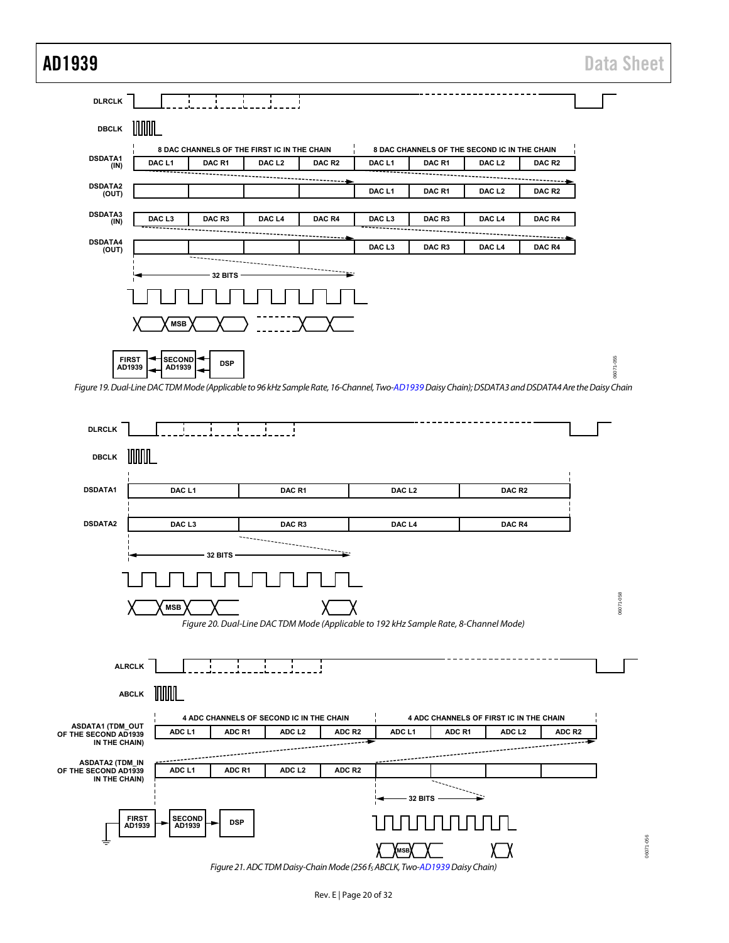## AD1939 Data Sheet

**DLRCLK**  $\mathbf{L}$  $\mathbf{I}$ ÷ UUUUL **DBCLK 8 DAC CHANNELS OF THE FIRST IC IN THE CHAIN 8 DAC CHANNELS OF THE SECOND IC IN THE CHAIN DSDATA1 (IN) DAC L1 DAC R1 DAC L2 DAC R2 DAC L1 DAC R1 DAC L2 DAC R2** --------------**DSDATA2 (OUT) DAC L1 DAC R1 DAC L2 DAC R2 DSDATA3 (IN) DAC L3 DAC R3 DAC L4 DAC R4 DAC L3 DAC R3 DAC L4 DAC R4 DSDATA4 (OUT) DAC L3 DAC R3 DAC L4 DAC R4** --------**32 BITS MSB FIRST** -055 06071-055 **DSP**<br> **AD1939 AD1939** 6071

<span id="page-20-0"></span>Figure 19. Dual-Line DAC TDM Mode (Applicable to 96 kHz Sample Rate, 16-Channel, Tw[o-AD1939 D](http://www.analog.com/AD1939?doc=AD1939.pdf)aisy Chain); DSDATA3 and DSDATA4 Are the Daisy Chain

<span id="page-20-1"></span>

<span id="page-20-2"></span>Figure 21. ADC TDM Daisy-Chain Mode (256 fs ABCLK, Tw[o-AD1939 D](http://www.analog.com/AD1939?doc=AD1939.pdf)aisy Chain)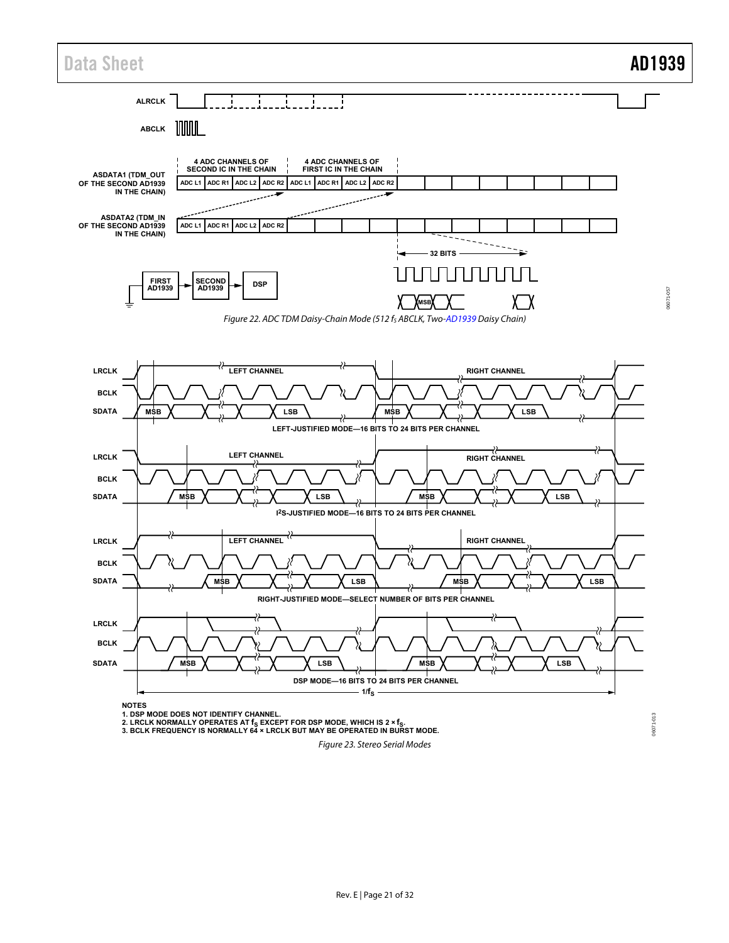<span id="page-21-1"></span>

<span id="page-21-0"></span>Figure 23. Stereo Serial Modes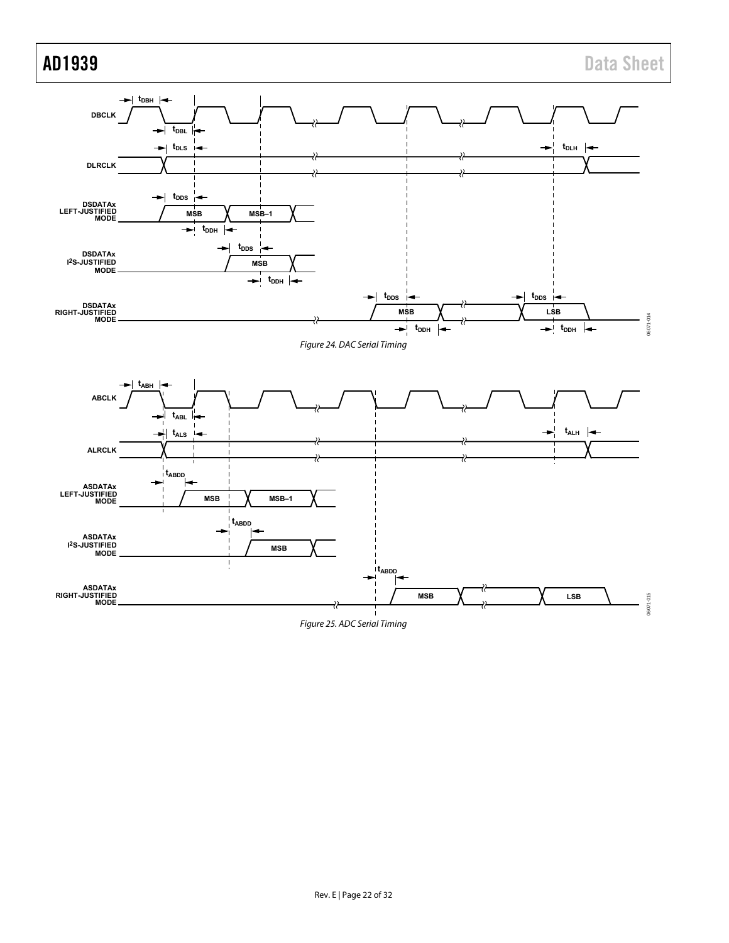<span id="page-22-1"></span><span id="page-22-0"></span>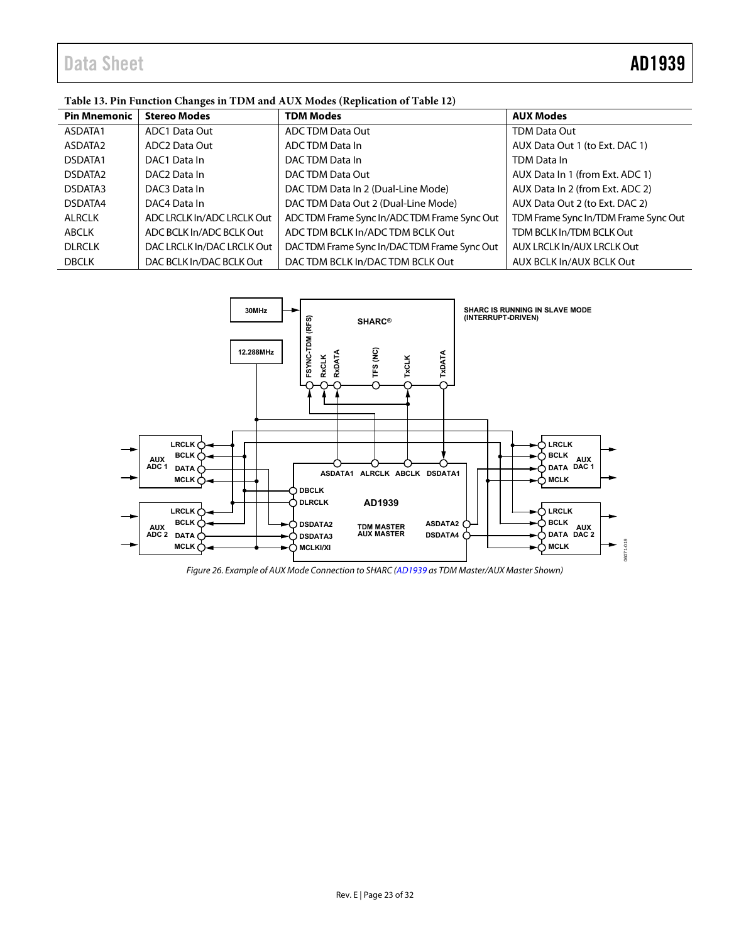## Data Sheet **AD1939**

### <span id="page-23-0"></span>**Table 13. Pin Function Changes in TDM and AUX Modes (Replication of [Table 12\)](#page-16-0)**

| <b>Pin Mnemonic</b> | <b>Stereo Modes</b>        | <b>TDM Modes</b>                           | <b>AUX Modes</b>                     |
|---------------------|----------------------------|--------------------------------------------|--------------------------------------|
| ASDATA1             | ADC1 Data Out              | ADC TDM Data Out                           | <b>TDM Data Out</b>                  |
| ASDATA2             | ADC2 Data Out              | ADC TDM Data In                            | AUX Data Out 1 (to Ext. DAC 1)       |
| DSDATA1             | DAC1 Data In               | DACTDM Data In                             | TDM Data In                          |
| DSDATA <sub>2</sub> | DAC <sub>2</sub> Data In   | DACTDM Data Out                            | AUX Data In 1 (from Ext. ADC 1)      |
| DSDATA3             | DAC3 Data In               | DACTDM Data In 2 (Dual-Line Mode)          | AUX Data In 2 (from Ext. ADC 2)      |
| DSDATA4             | DAC4 Data In               | DACTDM Data Out 2 (Dual-Line Mode)         | AUX Data Out 2 (to Ext. DAC 2)       |
| <b>ALRCLK</b>       | ADC LRCLK In/ADC LRCLK Out | ADCTDM Frame Sync In/ADCTDM Frame Sync Out | TDM Frame Sync In/TDM Frame Sync Out |
| ABCLK               | ADC BCLK In/ADC BCLK Out   | ADC TDM BCLK In/ADC TDM BCLK Out           | TDM BCLK In/TDM BCLK Out             |
| <b>DLRCLK</b>       | DAC LRCLK In/DAC LRCLK Out | DACTDM Frame Sync In/DACTDM Frame Sync Out | AUX LRCLK In/AUX LRCLK Out           |
| <b>DBCLK</b>        | DAC BCLK In/DAC BCLK Out   | DACTDM BCLK In/DACTDM BCLK Out             | AUX BCLK In/AUX BCLK Out             |



<span id="page-23-1"></span>Figure 26. Example of AUX Mode Connection to SHARC [\(AD1939 a](http://www.analog.com/AD1939?doc=AD1939.pdf)s TDM Master/AUX Master Shown)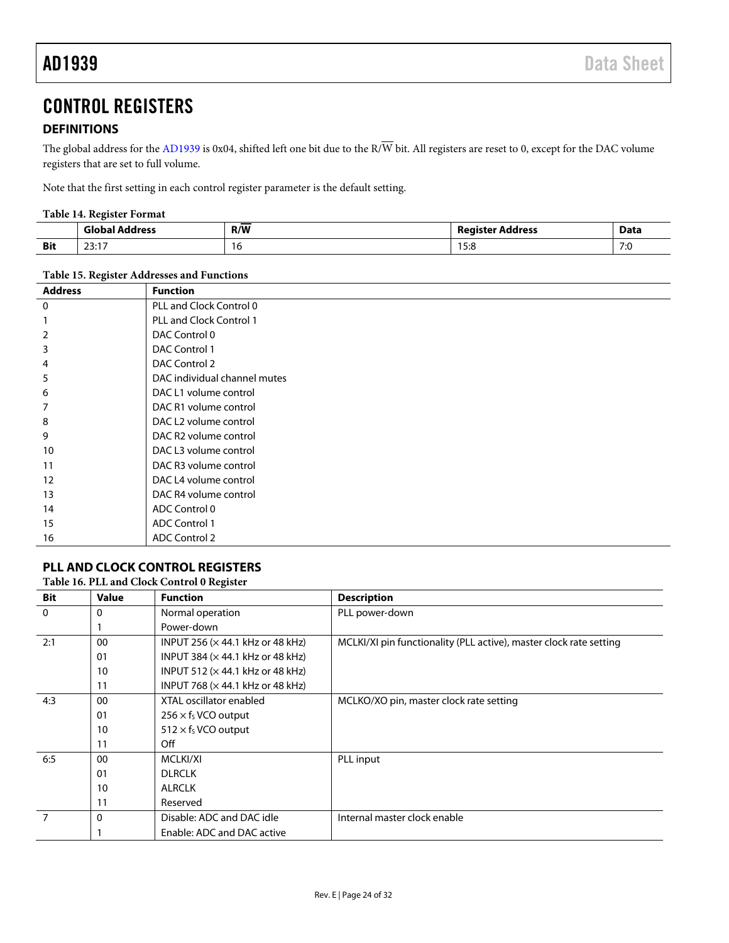### <span id="page-24-0"></span>CONTROL REGISTERS

### <span id="page-24-1"></span>**DEFINITIONS**

The global address for th[e AD1939](http://www.analog.com/AD1939?doc=AD1939.pdf) is 0x04, shifted left one bit due to the  $R/\overline{W}$  bit. All registers are reset to 0, except for the DAC volume registers that are set to full volume.

Note that the first setting in each control register parameter is the default setting.

### **Table 14. Register Format**

|            | َ iob ان<br>ldress                   | R/W | Register Address            | Data       |
|------------|--------------------------------------|-----|-----------------------------|------------|
| <b>Bit</b> | $\sim$ $\sim$ $\sim$<br><u>2</u> .11 | ı v | $1 - 0$<br>$\cdot$<br>ن.ر ا | 7.6<br>7.U |

#### **Table 15. Register Addresses and Functions**

| <b>Address</b> | <b>Function</b>                   |
|----------------|-----------------------------------|
| 0              | PLL and Clock Control 0           |
|                | <b>PLL and Clock Control 1</b>    |
| 2              | DAC Control 0                     |
| 3              | DAC Control 1                     |
| 4              | DAC Control 2                     |
| 5              | DAC individual channel mutes      |
| 6              | DAC L1 volume control             |
|                | DAC R1 volume control             |
| 8              | DAC L2 volume control             |
| 9              | DAC R <sub>2</sub> volume control |
| 10             | DAC L3 volume control             |
| 11             | DAC R3 volume control             |
| 12             | DAC L4 volume control             |
| 13             | DAC R4 volume control             |
| 14             | ADC Control 0                     |
| 15             | <b>ADC Control 1</b>              |
| 16             | <b>ADC Control 2</b>              |

### <span id="page-24-2"></span>**PLL AND CLOCK CONTROL REGISTERS**

### **Table 16. PLL and Clock Control 0 Register**

| Bit      | <b>Value</b> | <b>Function</b>                          | <b>Description</b>                                                 |
|----------|--------------|------------------------------------------|--------------------------------------------------------------------|
| $\Omega$ | 0            | Normal operation                         | PLL power-down                                                     |
|          |              | Power-down                               |                                                                    |
| 2:1      | 00           | INPUT 256 (x 44.1 kHz or 48 kHz)         | MCLKI/XI pin functionality (PLL active), master clock rate setting |
|          | 01           | INPUT 384 ( $\times$ 44.1 kHz or 48 kHz) |                                                                    |
|          | 10           | INPUT 512 ( $\times$ 44.1 kHz or 48 kHz) |                                                                    |
|          | 11           | INPUT 768 ( $\times$ 44.1 kHz or 48 kHz) |                                                                    |
| 4:3      | 00           | XTAL oscillator enabled                  | MCLKO/XO pin, master clock rate setting                            |
|          | 01           | $256 \times f_S$ VCO output              |                                                                    |
|          | 10           | $512 \times f_S$ VCO output              |                                                                    |
|          | 11           | Off                                      |                                                                    |
| 6:5      | 00           | MCLKI/XI                                 | PLL input                                                          |
|          | 01           | <b>DLRCLK</b>                            |                                                                    |
|          | 10           | <b>ALRCLK</b>                            |                                                                    |
|          | 11           | Reserved                                 |                                                                    |
|          | 0            | Disable: ADC and DAC idle                | Internal master clock enable                                       |
|          |              | Enable: ADC and DAC active               |                                                                    |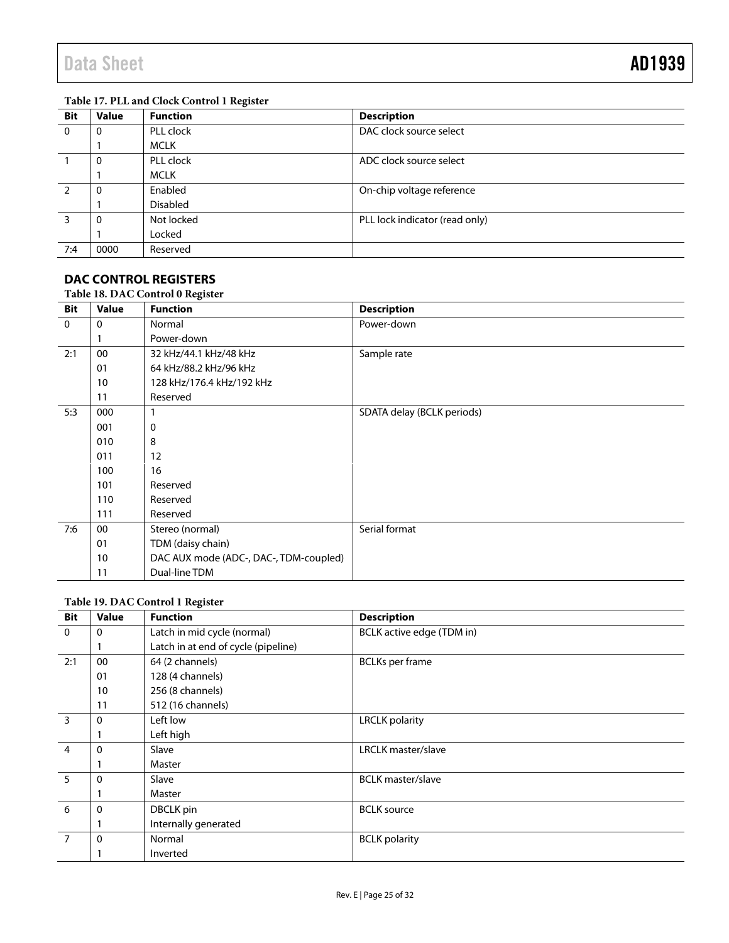### **Table 17. PLL and Clock Control 1 Register**

| <b>Bit</b> | <b>Value</b> | <b>Function</b> | <b>Description</b>             |
|------------|--------------|-----------------|--------------------------------|
| $\Omega$   | 0            | PLL clock       | DAC clock source select        |
|            |              | <b>MCLK</b>     |                                |
|            | 0            | PLL clock       | ADC clock source select        |
|            |              | <b>MCLK</b>     |                                |
|            | 0            | Enabled         | On-chip voltage reference      |
|            |              | <b>Disabled</b> |                                |
| 3          | 0            | Not locked      | PLL lock indicator (read only) |
|            |              | Locked          |                                |
| 7:4        | 0000         | Reserved        |                                |

#### <span id="page-25-0"></span>**DAC CONTROL REGISTERS Table 18. DAC Control 0 Register**

| <b>Bit</b>   | <b>Value</b> | <b>Function</b>                        | <b>Description</b>         |
|--------------|--------------|----------------------------------------|----------------------------|
| $\mathbf{0}$ | 0            | Normal                                 | Power-down                 |
|              |              | Power-down                             |                            |
| 2:1          | 00           | 32 kHz/44.1 kHz/48 kHz                 | Sample rate                |
|              | 01           | 64 kHz/88.2 kHz/96 kHz                 |                            |
|              | 10           | 128 kHz/176.4 kHz/192 kHz              |                            |
|              | 11           | Reserved                               |                            |
| 5:3          | 000          |                                        | SDATA delay (BCLK periods) |
|              | 001          | 0                                      |                            |
|              | 010          | 8                                      |                            |
|              | 011          | 12                                     |                            |
|              | 100          | 16                                     |                            |
|              | 101          | Reserved                               |                            |
|              | 110          | Reserved                               |                            |
|              | 111          | Reserved                               |                            |
| 7:6          | 00           | Stereo (normal)                        | Serial format              |
|              | 01           | TDM (daisy chain)                      |                            |
|              | 10           | DAC AUX mode (ADC-, DAC-, TDM-coupled) |                            |
|              | 11           | Dual-line TDM                          |                            |

### **Table 19. DAC Control 1 Register**

| <b>Bit</b>     | <b>Value</b> | <b>Function</b>                     | <b>Description</b>        |
|----------------|--------------|-------------------------------------|---------------------------|
| $\mathbf{0}$   | 0            | Latch in mid cycle (normal)         | BCLK active edge (TDM in) |
|                |              | Latch in at end of cycle (pipeline) |                           |
| 2:1            | 00           | 64 (2 channels)                     | <b>BCLKs</b> per frame    |
|                | 01           | 128 (4 channels)                    |                           |
|                | 10           | 256 (8 channels)                    |                           |
|                | 11           | 512 (16 channels)                   |                           |
| $\overline{3}$ | 0            | Left low                            | <b>LRCLK</b> polarity     |
|                |              | Left high                           |                           |
| $\overline{4}$ | 0            | Slave                               | <b>LRCLK</b> master/slave |
|                |              | Master                              |                           |
| $5^{\circ}$    | 0            | Slave                               | <b>BCLK</b> master/slave  |
|                |              | Master                              |                           |
| 6              | 0            | DBCLK pin                           | <b>BCLK</b> source        |
|                |              | Internally generated                |                           |
| $\overline{7}$ | 0            | Normal                              | <b>BCLK</b> polarity      |
|                |              | Inverted                            |                           |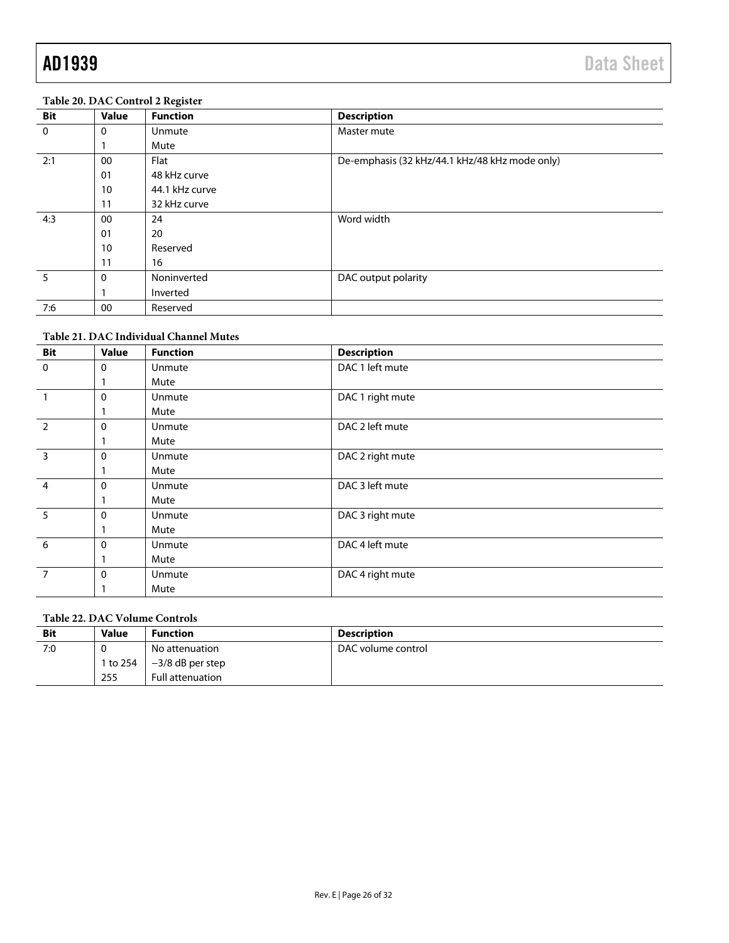### **Table 20. DAC Control 2 Register**

| <b>Bit</b>  | <b>Value</b> | <b>Function</b> | <b>Description</b>                             |
|-------------|--------------|-----------------|------------------------------------------------|
| $\mathbf 0$ | $\Omega$     | Unmute          | Master mute                                    |
|             |              | Mute            |                                                |
| 2:1         | 00           | Flat            | De-emphasis (32 kHz/44.1 kHz/48 kHz mode only) |
|             | 01           | 48 kHz curve    |                                                |
|             | 10           | 44.1 kHz curve  |                                                |
|             | 11           | 32 kHz curve    |                                                |
| 4:3         | 00           | 24              | Word width                                     |
|             | 01           | 20              |                                                |
|             | 10           | Reserved        |                                                |
|             | 11           | 16              |                                                |
| 5           | 0            | Noninverted     | DAC output polarity                            |
|             |              | Inverted        |                                                |
| 7:6         | 00           | Reserved        |                                                |

### **Table 21. DAC Individual Channel Mutes**

| <b>Bit</b>     | <b>Value</b> | <b>Function</b> | <b>Description</b> |
|----------------|--------------|-----------------|--------------------|
| $\mathbf 0$    | 0            | Unmute          | DAC 1 left mute    |
|                |              | Mute            |                    |
|                | 0            | Unmute          | DAC 1 right mute   |
|                |              | Mute            |                    |
| $\overline{2}$ | 0            | Unmute          | DAC 2 left mute    |
|                |              | Mute            |                    |
| $\overline{3}$ | 0            | <b>Unmute</b>   | DAC 2 right mute   |
|                |              | Mute            |                    |
| $\overline{4}$ | 0            | Unmute          | DAC 3 left mute    |
|                |              | Mute            |                    |
| 5              | 0            | Unmute          | DAC 3 right mute   |
|                |              | Mute            |                    |
| 6              | 0            | Unmute          | DAC 4 left mute    |
|                |              | Mute            |                    |
| $\overline{7}$ | 0            | Unmute          | DAC 4 right mute   |
|                |              | Mute            |                    |

### **Table 22. DAC Volume Controls**

| <b>Bit</b> | <b>Value</b> | <b>Function</b>         | Description        |
|------------|--------------|-------------------------|--------------------|
| 7:0        |              | No attenuation          | DAC volume control |
|            | 1 to 254     | $-3/8$ dB per step      |                    |
|            | 255          | <b>Full attenuation</b> |                    |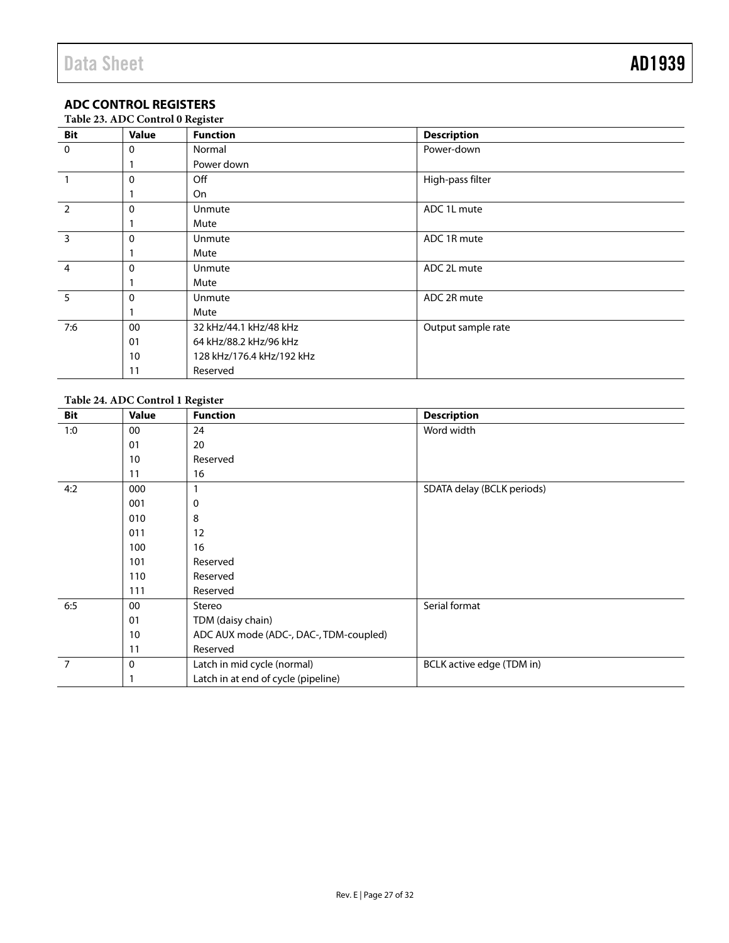### <span id="page-27-0"></span>**ADC CONTROL REGISTERS**

|  |  | Table 23. ADC Control 0 Register |
|--|--|----------------------------------|
|  |  |                                  |

| Bit            | Twore 20.11D & control of Regioner<br><b>Value</b> | <b>Function</b>           | <b>Description</b> |
|----------------|----------------------------------------------------|---------------------------|--------------------|
| $\mathbf 0$    | $\mathbf{0}$                                       | Normal                    | Power-down         |
|                |                                                    | Power down                |                    |
|                | $\Omega$                                           | Off                       | High-pass filter   |
|                |                                                    | On                        |                    |
| $\overline{2}$ | $\mathbf{0}$                                       | Unmute                    | ADC 1L mute        |
|                |                                                    | Mute                      |                    |
| $\overline{3}$ | $\mathbf{0}$                                       | Unmute                    | ADC 1R mute        |
|                |                                                    | Mute                      |                    |
| $\overline{4}$ | $\Omega$                                           | Unmute                    | ADC 2L mute        |
|                |                                                    | Mute                      |                    |
| $\overline{5}$ | $\Omega$                                           | <b>Unmute</b>             | ADC 2R mute        |
|                |                                                    | Mute                      |                    |
| 7:6            | 00                                                 | 32 kHz/44.1 kHz/48 kHz    | Output sample rate |
|                | 01                                                 | 64 kHz/88.2 kHz/96 kHz    |                    |
|                | 10                                                 | 128 kHz/176.4 kHz/192 kHz |                    |
|                | 11                                                 | Reserved                  |                    |

### **Table 24. ADC Control 1 Register**

| Bit            | <b>Value</b> | <b>Function</b>                        | <b>Description</b>         |
|----------------|--------------|----------------------------------------|----------------------------|
| 1:0            | 00           | 24                                     | Word width                 |
|                | 01           | 20                                     |                            |
|                | 10           | Reserved                               |                            |
|                | 11           | 16                                     |                            |
| 4:2            | 000          |                                        | SDATA delay (BCLK periods) |
|                | 001          | 0                                      |                            |
|                | 010          | 8                                      |                            |
|                | 011          | 12                                     |                            |
|                | 100          | 16                                     |                            |
|                | 101          | Reserved                               |                            |
|                | 110          | Reserved                               |                            |
|                | 111          | Reserved                               |                            |
| 6:5            | 00           | Stereo                                 | Serial format              |
|                | 01           | TDM (daisy chain)                      |                            |
|                | 10           | ADC AUX mode (ADC-, DAC-, TDM-coupled) |                            |
|                | 11           | Reserved                               |                            |
| $\overline{7}$ | 0            | Latch in mid cycle (normal)            | BCLK active edge (TDM in)  |
|                |              | Latch in at end of cycle (pipeline)    |                            |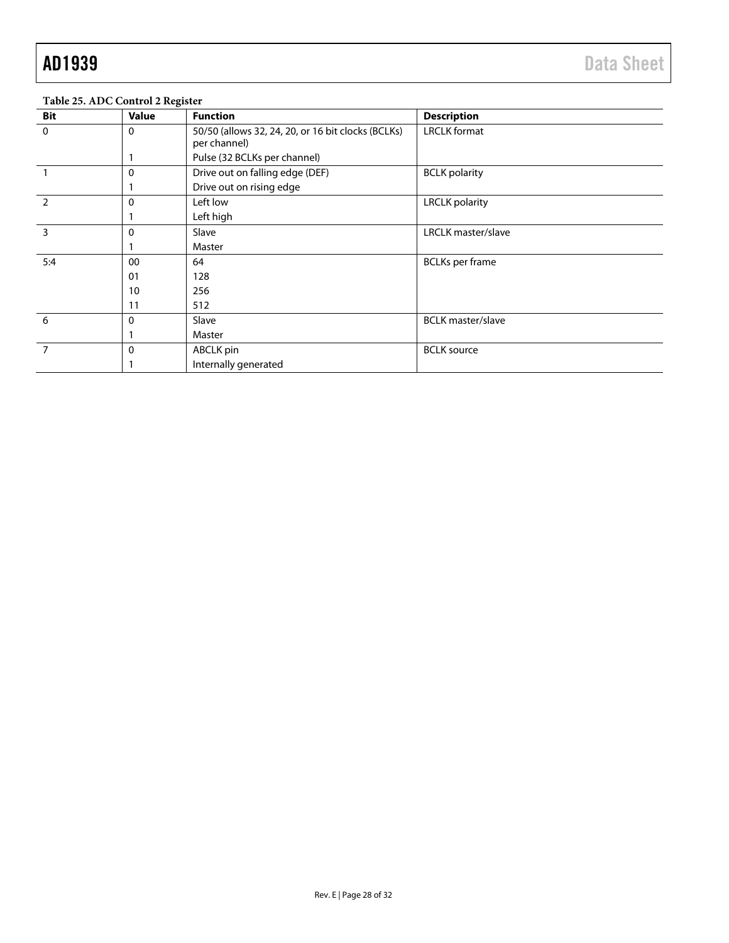| <b>Bit</b>     | <b>Value</b> | <b>Function</b>                                                    | <b>Description</b>       |
|----------------|--------------|--------------------------------------------------------------------|--------------------------|
| $\mathbf 0$    | 0            | 50/50 (allows 32, 24, 20, or 16 bit clocks (BCLKs)<br>per channel) | <b>LRCLK</b> format      |
|                |              | Pulse (32 BCLKs per channel)                                       |                          |
|                | $\mathbf 0$  | Drive out on falling edge (DEF)                                    | <b>BCLK</b> polarity     |
|                |              | Drive out on rising edge                                           |                          |
| $\overline{2}$ | $\mathbf 0$  | Left low                                                           | <b>LRCLK</b> polarity    |
|                |              | Left high                                                          |                          |
| 3              | 0            | Slave                                                              | LRCLK master/slave       |
|                |              | Master                                                             |                          |
| 5:4            | 00           | 64                                                                 | <b>BCLKs</b> per frame   |
|                | 01           | 128                                                                |                          |
|                | 10           | 256                                                                |                          |
|                | 11           | 512                                                                |                          |
| 6              | $\mathbf 0$  | Slave                                                              | <b>BCLK</b> master/slave |
|                |              | Master                                                             |                          |
|                | $\Omega$     | ABCLK pin                                                          | <b>BCLK</b> source       |
|                |              | Internally generated                                               |                          |

### **Table 25. ADC Control 2 Register**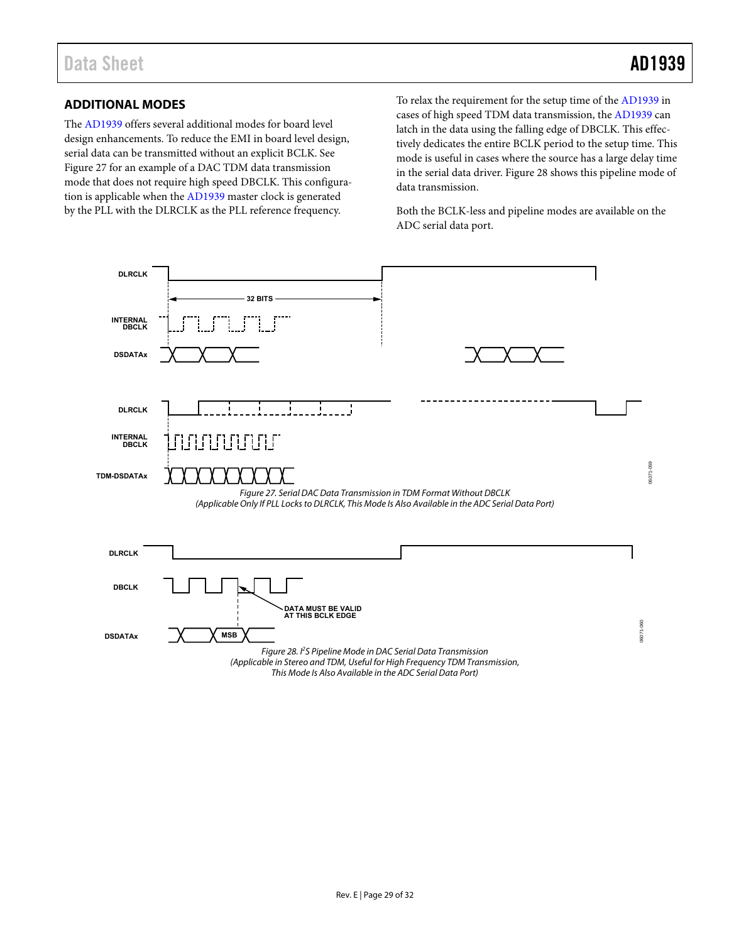### <span id="page-29-0"></span>**ADDITIONAL MODES**

The [AD1939 o](http://www.analog.com/AD1939?doc=AD1939.pdf)ffers several additional modes for board level design enhancements. To reduce the EMI in board level design, serial data can be transmitted without an explicit BCLK. See [Figure 27 f](#page-29-1)or an example of a DAC TDM data transmission mode that does not require high speed DBCLK. This configuration is applicable when the [AD1939](http://www.analog.com/AD1939?doc=AD1939.pdf) master clock is generated by the PLL with the DLRCLK as the PLL reference frequency.

To relax the requirement for the setup time of the [AD1939 i](http://www.analog.com/AD1939?doc=AD1939.pdf)n cases of high speed TDM data transmission, th[e AD1939](http://www.analog.com/AD1939?doc=AD1939.pdf) can latch in the data using the falling edge of DBCLK. This effectively dedicates the entire BCLK period to the setup time. This mode is useful in cases where the source has a large delay time in the serial data driver[. Figure 28](#page-29-2) shows this pipeline mode of data transmission.

Both the BCLK-less and pipeline modes are available on the ADC serial data port.

<span id="page-29-2"></span><span id="page-29-1"></span>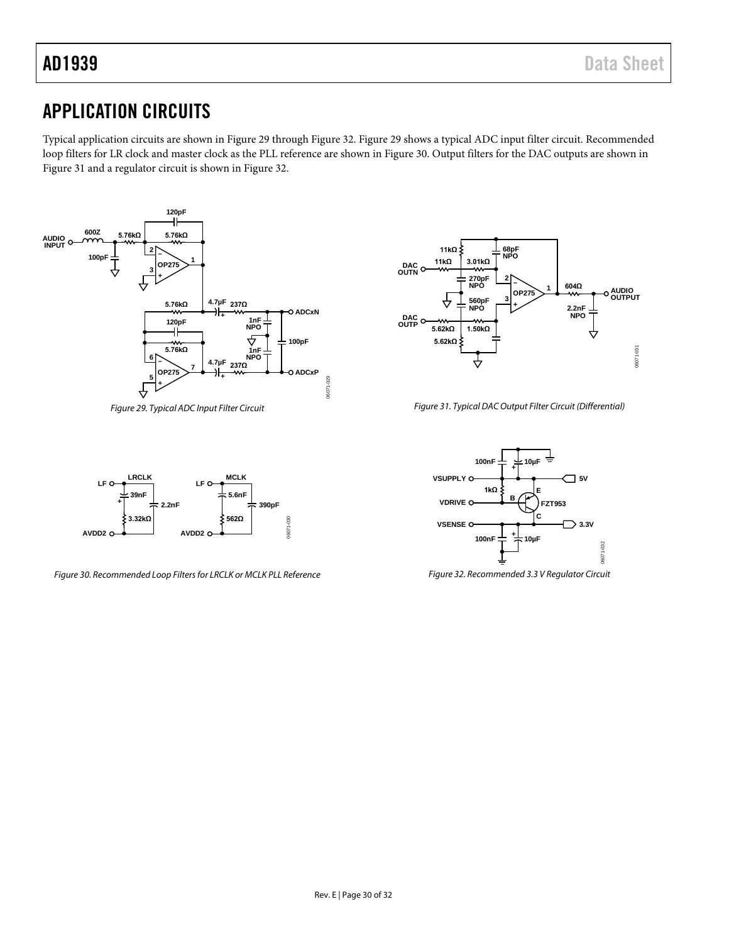## <span id="page-30-0"></span>APPLICATION CIRCUITS

Typical application circuits are shown in [Figure 29](#page-30-1) throug[h Figure 32.](#page-30-2) [Figure](#page-30-1) 29 shows a typical ADC input filter circuit. Recommended loop filters for LR clock and master clock as the PLL reference are shown in [Figure 30.](#page-30-3) Output filters for the DAC outputs are shown in [Figure 31](#page-30-4) and a regulator circuit is shown in [Figure 32.](#page-30-2) 



<span id="page-30-1"></span>*Figure 29. Typical ADC Input Filter Circuit*



<span id="page-30-4"></span>*Figure 31. Typical DAC Output Filter Circuit (Differential)*



<span id="page-30-3"></span>*Figure 30. Recommended Loop Filters for LRCLK or MCLK PLL Reference*



<span id="page-30-2"></span>*Figure 32. Recommended 3.3 V Regulator Circuit*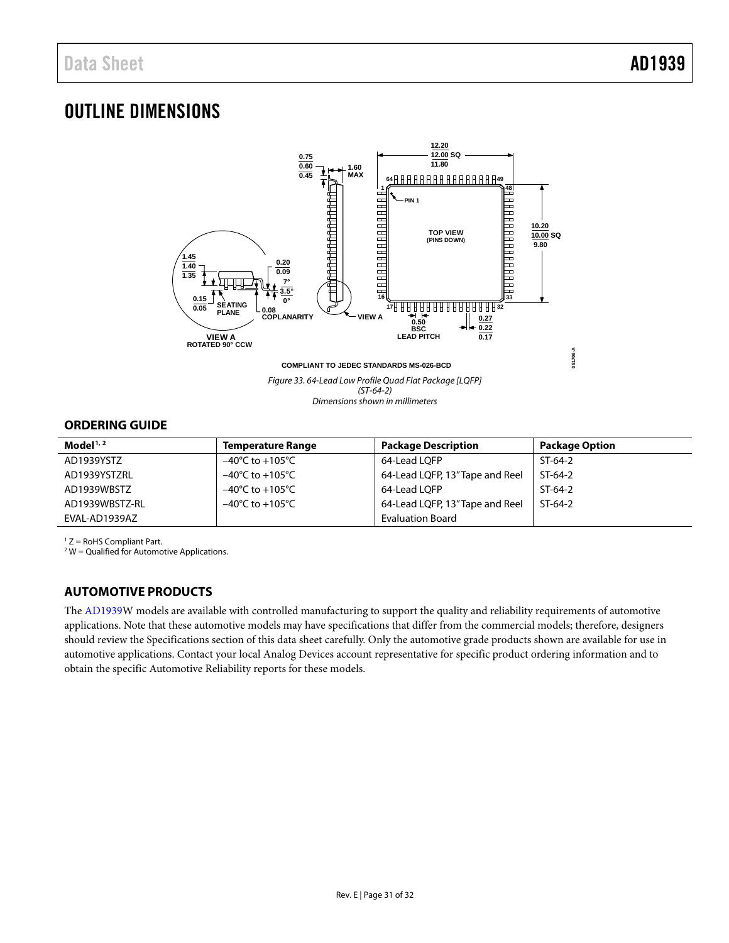## <span id="page-31-0"></span>OUTLINE DIMENSIONS



### <span id="page-31-1"></span>**ORDERING GUIDE**

| Model $1/2$    | <b>Temperature Range</b>            | <b>Package Description</b>      | <b>Package Option</b> |
|----------------|-------------------------------------|---------------------------------|-----------------------|
| AD1939YSTZ     | $-40^{\circ}$ C to $+105^{\circ}$ C | 64-Lead LOFP                    | $ST-64-2$             |
| AD1939YSTZRL   | $-40^{\circ}$ C to $+105^{\circ}$ C | 64-Lead LQFP, 13" Tape and Reel | $ST-64-2$             |
| AD1939WBSTZ    | $-40^{\circ}$ C to $+105^{\circ}$ C | 64-Lead LOFP                    | $ST-64-2$             |
| AD1939WBSTZ-RL | $-40^{\circ}$ C to $+105^{\circ}$ C | 64-Lead LQFP, 13" Tape and Reel | $ST-64-2$             |
| EVAL-AD1939AZ  |                                     | <b>Evaluation Board</b>         |                       |

 $17 =$  RoHS Compliant Part.

 $2$  W = Qualified for Automotive Applications.

### <span id="page-31-2"></span>**AUTOMOTIVE PRODUCTS**

The [AD1939W](http://www.analog.com/AD1939?doc=AD1939.pdf) models are available with controlled manufacturing to support the quality and reliability requirements of automotive applications. Note that these automotive models may have specifications that differ from the commercial models; therefore, designers should review the [Specifications](#page-3-0) section of this data sheet carefully. Only the automotive grade products shown are available for use in automotive applications. Contact your local Analog Devices account representative for specific product ordering information and to obtain the specific Automotive Reliability reports for these models.